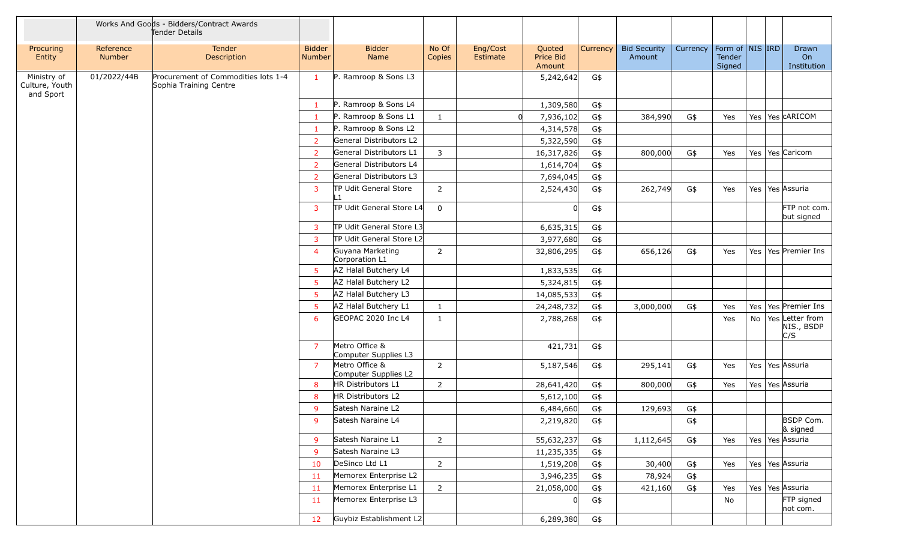|                                            |                            | Works And Goods - Bidders/Contract Awards<br>Tender Details   |                                |                                        |                 |                      |                               |              |                               |          |                  |                     |                                      |
|--------------------------------------------|----------------------------|---------------------------------------------------------------|--------------------------------|----------------------------------------|-----------------|----------------------|-------------------------------|--------------|-------------------------------|----------|------------------|---------------------|--------------------------------------|
| Procuring<br>Entity                        | Reference<br><b>Number</b> | Tender<br>Description                                         | <b>Bidder</b><br><b>Number</b> | <b>Bidder</b><br>Name                  | No Of<br>Copies | Eng/Cost<br>Estimate | Quoted<br>Price Bid<br>Amount | Currency $ $ | <b>Bid Security</b><br>Amount | Currency | Tender<br>Signed | Form of   NIS   IRD | Drawn<br>On<br>Institution           |
| Ministry of<br>Culture, Youth<br>and Sport | 01/2022/44B                | Procurement of Commodities lots 1-4<br>Sophia Training Centre | $\mathbf{1}$                   | P. Ramroop & Sons L3                   |                 |                      | 5,242,642                     | G\$          |                               |          |                  |                     |                                      |
|                                            |                            |                                                               | -1                             | P. Ramroop & Sons L4                   |                 |                      | 1,309,580                     | G\$          |                               |          |                  |                     |                                      |
|                                            |                            |                                                               | -1                             | P. Ramroop & Sons L1                   | $\mathbf{1}$    |                      | 7,936,102                     | G\$          | 384,990                       | G\$      | Yes              |                     | Yes   Yes CARICOM                    |
|                                            |                            |                                                               | -1                             | P. Ramroop & Sons L2                   |                 |                      | 4,314,578                     | G\$          |                               |          |                  |                     |                                      |
|                                            |                            |                                                               | $\overline{2}$                 | General Distributors L2                |                 |                      | 5,322,590                     | G\$          |                               |          |                  |                     |                                      |
|                                            |                            |                                                               | 2                              | General Distributors L1                | $\overline{3}$  |                      | 16,317,826                    | G\$          | 800,000                       | G\$      | Yes              | Yes   Yes   Caricom |                                      |
|                                            |                            |                                                               | $\overline{2}$                 | General Distributors L4                |                 |                      | 1,614,704                     | G\$          |                               |          |                  |                     |                                      |
|                                            |                            |                                                               | $\overline{2}$                 | General Distributors L3                |                 |                      | 7,694,045                     | G\$          |                               |          |                  |                     |                                      |
|                                            |                            |                                                               | $\overline{3}$                 | TP Udit General Store<br>-1            | 2               |                      | 2,524,430                     | G\$          | 262,749                       | G\$      | Yes              | Yes   Yes   Assuria |                                      |
|                                            |                            |                                                               | $\overline{3}$                 | TP Udit General Store L4               | $\mathbf 0$     |                      |                               | G\$          |                               |          |                  |                     | FTP not com.<br>but signed           |
|                                            |                            |                                                               | $\overline{3}$                 | TP Udit General Store L3               |                 |                      | 6,635,315                     | G\$          |                               |          |                  |                     |                                      |
|                                            |                            |                                                               | 3                              | TP Udit General Store L2               |                 |                      | 3,977,680                     | G\$          |                               |          |                  |                     |                                      |
|                                            |                            |                                                               | $\overline{4}$                 | Guyana Marketing<br>Corporation L1     | $\overline{2}$  |                      | 32,806,295                    | G\$          | 656,126                       | G\$      | Yes              |                     | Yes   Yes   Premier Ins              |
|                                            |                            |                                                               | 5                              | AZ Halal Butchery L4                   |                 |                      | 1,833,535                     | G\$          |                               |          |                  |                     |                                      |
|                                            |                            |                                                               | -5                             | AZ Halal Butchery L2                   |                 |                      | 5,324,815                     | G\$          |                               |          |                  |                     |                                      |
|                                            |                            |                                                               | 5                              | AZ Halal Butchery L3                   |                 |                      | 14,085,533                    | G\$          |                               |          |                  |                     |                                      |
|                                            |                            |                                                               | 5                              | AZ Halal Butchery L1                   | 1               |                      | 24, 248, 732                  | G\$          | 3,000,000                     | G\$      | Yes              | Yes                 | Yes Premier Ins                      |
|                                            |                            |                                                               | 6                              | GEOPAC 2020 Inc L4                     | 1               |                      | 2,788,268                     | G\$          |                               |          | Yes              | No                  | Yes Letter from<br>NIS., BSDP<br>C/S |
|                                            |                            |                                                               | $\overline{7}$                 | Metro Office &<br>Computer Supplies L3 |                 |                      | 421,731                       | G\$          |                               |          |                  |                     |                                      |
|                                            |                            |                                                               | $\overline{7}$                 | Metro Office &<br>Computer Supplies L2 | 2               |                      | 5,187,546                     | G\$          | 295,141                       | G\$      | Yes              | Yes   Yes   Assuria |                                      |
|                                            |                            |                                                               | -8                             | HR Distributors L1                     | 2               |                      | 28,641,420                    | G\$          | 800,000                       | G\$      | Yes              | Yes   Yes Assuria   |                                      |
|                                            |                            |                                                               | -8                             | HR Distributors L2                     |                 |                      | 5,612,100                     | G\$          |                               |          |                  |                     |                                      |
|                                            |                            |                                                               | -9                             | Satesh Naraine L2                      |                 |                      | 6,484,660                     | G\$          | 129,693                       | G\$      |                  |                     |                                      |
|                                            |                            |                                                               | 9                              | Satesh Naraine L4                      |                 |                      | 2,219,820                     | G\$          |                               | G\$      |                  |                     | BSDP Com.<br>& signed                |
|                                            |                            |                                                               | -9                             | Satesh Naraine L1                      | $\overline{2}$  |                      | 55,632,237                    | G\$          | 1,112,645                     | G\$      | Yes              | Yes   Yes Assuria   |                                      |
|                                            |                            |                                                               | -9                             | Satesh Naraine L3                      |                 |                      | 11,235,335                    | G\$          |                               |          |                  |                     |                                      |
|                                            |                            |                                                               | 10                             | DeSinco Ltd L1                         | $\overline{2}$  |                      | 1,519,208                     | G\$          | 30,400                        | G\$      | Yes              | Yes   Yes Assuria   |                                      |
|                                            |                            |                                                               | -11                            | Memorex Enterprise L2                  |                 |                      | 3,946,235                     | G\$          | 78,924                        | G\$      |                  |                     |                                      |
|                                            |                            |                                                               | -11                            | Memorex Enterprise L1                  | $\overline{2}$  |                      | 21,058,000                    | G\$          | 421,160                       | G\$      | Yes              | Yes   Yes   Assuria |                                      |
|                                            |                            |                                                               | 11                             | Memorex Enterprise L3                  |                 |                      |                               | G\$          |                               |          | No               |                     | FTP signed<br>not com.               |
|                                            |                            |                                                               | 12                             | Guybiz Establishment L2                |                 |                      | 6,289,380                     | G\$          |                               |          |                  |                     |                                      |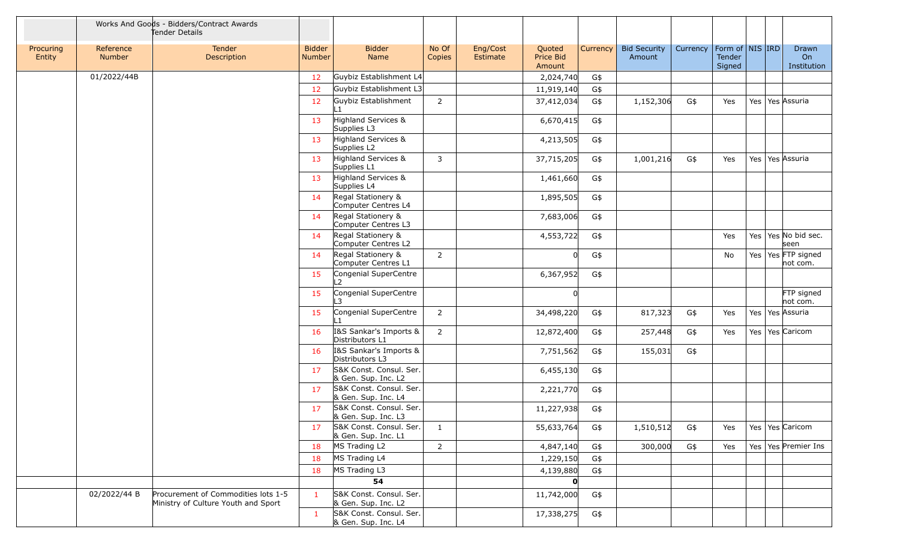|                     |                     | Works And Goods - Bidders/Contract Awards<br>Tender Details                |                         |                                                |                 |                      |                               |          |                               |          |                                         |     |                                 |
|---------------------|---------------------|----------------------------------------------------------------------------|-------------------------|------------------------------------------------|-----------------|----------------------|-------------------------------|----------|-------------------------------|----------|-----------------------------------------|-----|---------------------------------|
| Procuring<br>Entity | Reference<br>Number | Tender<br>Description                                                      | <b>Bidder</b><br>Number | <b>Bidder</b><br>Name                          | No Of<br>Copies | Eng/Cost<br>Estimate | Quoted<br>Price Bid<br>Amount | Currency | <b>Bid Security</b><br>Amount | Currency | Form of   NIS   IRD<br>Tender<br>Signed |     | Drawn<br>On<br>Institution      |
|                     | 01/2022/44B         |                                                                            | 12                      | Guybiz Establishment L4                        |                 |                      | 2,024,740                     | G\$      |                               |          |                                         |     |                                 |
|                     |                     |                                                                            | 12                      | Guybiz Establishment L3                        |                 |                      | 11,919,140                    | G\$      |                               |          |                                         |     |                                 |
|                     |                     |                                                                            | 12                      | Guybiz Establishment                           | $\overline{2}$  |                      | 37,412,034                    | G\$      | 1,152,306                     | G\$      | Yes                                     | Yes | Yes Assuria                     |
|                     |                     |                                                                            | 13                      | Highland Services &<br>Supplies L3             |                 |                      | 6,670,415                     | G\$      |                               |          |                                         |     |                                 |
|                     |                     |                                                                            | 13                      | Highland Services &<br>Supplies L2             |                 |                      | 4,213,505                     | G\$      |                               |          |                                         |     |                                 |
|                     |                     |                                                                            | 13                      | Highland Services &<br>Supplies L1             | $\mathbf{3}$    |                      | 37,715,205                    | G\$      | 1,001,216                     | G\$      | Yes                                     |     | Yes   Yes   Assuria             |
|                     |                     |                                                                            | 13                      | Highland Services &<br>Supplies L4             |                 |                      | 1,461,660                     | G\$      |                               |          |                                         |     |                                 |
|                     |                     |                                                                            | -14                     | Regal Stationery &<br>Computer Centres L4      |                 |                      | 1,895,505                     | G\$      |                               |          |                                         |     |                                 |
|                     |                     |                                                                            | 14                      | Regal Stationery &<br>Computer Centres L3      |                 |                      | 7,683,006                     | G\$      |                               |          |                                         |     |                                 |
|                     |                     |                                                                            | 14                      | Regal Stationery &<br>Computer Centres L2      |                 |                      | 4,553,722                     | G\$      |                               |          | Yes                                     |     | Yes   Yes   No bid sec.<br>seen |
|                     |                     |                                                                            | 14                      | Regal Stationery &<br>Computer Centres L1      | $\overline{2}$  |                      | n                             | G\$      |                               |          | No                                      | Yes | Yes FTP signed<br>not com.      |
|                     |                     |                                                                            | 15                      | Congenial SuperCentre<br>L2                    |                 |                      | 6,367,952                     | G\$      |                               |          |                                         |     |                                 |
|                     |                     |                                                                            | 15                      | Congenial SuperCentre<br>3                     |                 |                      |                               |          |                               |          |                                         |     | FTP signed<br>not com.          |
|                     |                     |                                                                            | 15                      | Congenial SuperCentre<br>$\mathbf{1}$          | 2               |                      | 34,498,220                    | G\$      | 817,323                       | G\$      | Yes                                     |     | Yes   Yes   Assuria             |
|                     |                     |                                                                            | 16                      | I&S Sankar's Imports &<br>Distributors L1      | $\overline{2}$  |                      | 12,872,400                    | G\$      | 257,448                       | G\$      | Yes                                     |     | Yes   Yes Caricom               |
|                     |                     |                                                                            | 16                      | I&S Sankar's Imports &<br>Distributors L3      |                 |                      | 7,751,562                     | G\$      | 155,031                       | G\$      |                                         |     |                                 |
|                     |                     |                                                                            | 17                      | S&K Const. Consul. Ser.<br>& Gen. Sup. Inc. L2 |                 |                      | 6,455,130                     | G\$      |                               |          |                                         |     |                                 |
|                     |                     |                                                                            | 17                      | S&K Const. Consul. Ser.<br>& Gen. Sup. Inc. L4 |                 |                      | 2,221,770                     | G\$      |                               |          |                                         |     |                                 |
|                     |                     |                                                                            | 17                      | S&K Const. Consul. Ser.<br>& Gen. Sup. Inc. L3 |                 |                      | 11,227,938                    | G\$      |                               |          |                                         |     |                                 |
|                     |                     |                                                                            | 17                      | S&K Const. Consul. Ser.<br>& Gen. Sup. Inc. L1 | 1               |                      | 55,633,764                    | G\$      | 1,510,512                     | G\$      | Yes                                     |     | Yes   Yes   Caricom             |
|                     |                     |                                                                            | 18                      | MS Trading L2                                  | $\overline{2}$  |                      | 4,847,140                     | G\$      | 300,000                       | G\$      | Yes                                     |     | Yes   Yes   Premier Ins         |
|                     |                     |                                                                            | 18                      | MS Trading L4                                  |                 |                      | 1,229,150                     | G\$      |                               |          |                                         |     |                                 |
|                     |                     |                                                                            | 18                      | MS Trading L3                                  |                 |                      | 4,139,880                     | G\$      |                               |          |                                         |     |                                 |
|                     |                     |                                                                            |                         | 54                                             |                 |                      | $\mathbf{0}$                  |          |                               |          |                                         |     |                                 |
|                     | 02/2022/44 B        | Procurement of Commodities lots 1-5<br>Ministry of Culture Youth and Sport | $\mathbf{1}$            | S&K Const. Consul. Ser.<br>& Gen. Sup. Inc. L2 |                 |                      | 11,742,000                    | G\$      |                               |          |                                         |     |                                 |
|                     |                     |                                                                            | $\mathbf{1}$            | S&K Const. Consul. Ser.<br>& Gen. Sup. Inc. L4 |                 |                      | 17,338,275                    | G\$      |                               |          |                                         |     |                                 |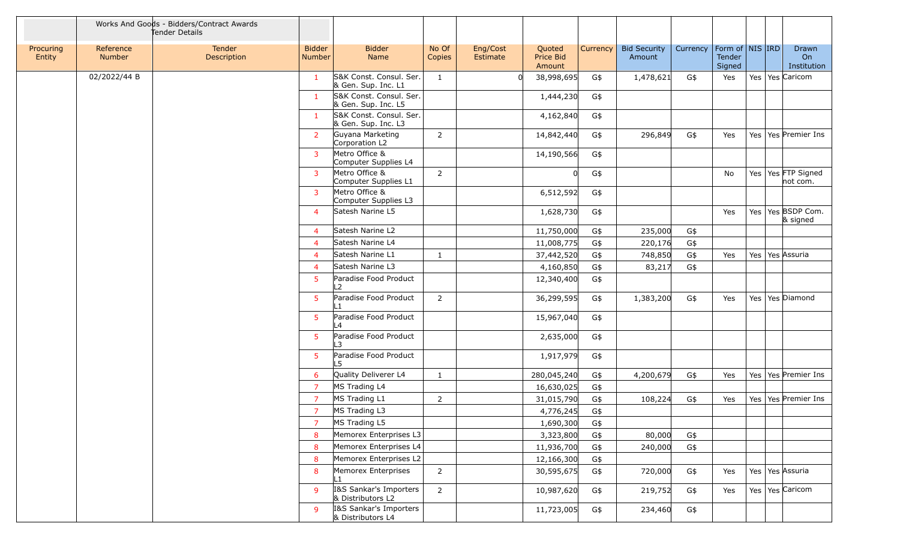|                     |                     | Works And Goods - Bidders/Contract Awards<br>Tender Details |                                |                                                |                 |                      |                               |          |                               |          |                                             |                                   |
|---------------------|---------------------|-------------------------------------------------------------|--------------------------------|------------------------------------------------|-----------------|----------------------|-------------------------------|----------|-------------------------------|----------|---------------------------------------------|-----------------------------------|
| Procuring<br>Entity | Reference<br>Number | Tender<br>Description                                       | <b>Bidder</b><br><b>Number</b> | <b>Bidder</b><br>Name                          | No Of<br>Copies | Eng/Cost<br>Estimate | Quoted<br>Price Bid<br>Amount | Currency | <b>Bid Security</b><br>Amount | Currency | Form of $\vert$ NIS IRD<br>Tender<br>Signed | Drawn<br>On<br>Institution        |
|                     | 02/2022/44 B        |                                                             | -1                             | S&K Const. Consul. Ser.<br>& Gen. Sup. Inc. L1 | 1               |                      | 38,998,695                    | G\$      | 1,478,621                     | G\$      | Yes                                         | Yes   Yes   Caricom               |
|                     |                     |                                                             | -1                             | S&K Const. Consul. Ser.<br>& Gen. Sup. Inc. L5 |                 |                      | 1,444,230                     | G\$      |                               |          |                                             |                                   |
|                     |                     |                                                             | 1                              | S&K Const. Consul. Ser.<br>& Gen. Sup. Inc. L3 |                 |                      | 4,162,840                     | G\$      |                               |          |                                             |                                   |
|                     |                     |                                                             | 2                              | Guyana Marketing<br>Corporation L2             | 2               |                      | 14,842,440                    | G\$      | 296,849                       | G\$      | Yes                                         | Yes   Yes   Premier Ins           |
|                     |                     |                                                             | 3                              | Metro Office &<br>Computer Supplies L4         |                 |                      | 14,190,566                    | G\$      |                               |          |                                             |                                   |
|                     |                     |                                                             | 3                              | Metro Office &<br>Computer Supplies L1         | 2               |                      |                               | G\$      |                               |          | No                                          | Yes   Yes FTP Signed<br>not com.  |
|                     |                     |                                                             | 3                              | Metro Office &<br>Computer Supplies L3         |                 |                      | 6,512,592                     | G\$      |                               |          |                                             |                                   |
|                     |                     |                                                             | $\overline{4}$                 | Satesh Narine L5                               |                 |                      | 1,628,730                     | G\$      |                               |          | Yes                                         | Yes   Yes   BSDP Com.<br>& signed |
|                     |                     |                                                             | $\overline{4}$                 | Satesh Narine L2                               |                 |                      | 11,750,000                    | G\$      | 235,000                       | G\$      |                                             |                                   |
|                     |                     |                                                             | $\overline{4}$                 | Satesh Narine L4                               |                 |                      | 11,008,775                    | G\$      | 220,176                       | G\$      |                                             |                                   |
|                     |                     |                                                             | $\overline{4}$                 | Satesh Narine L1                               | $\mathbf{1}$    |                      | 37,442,520                    | G\$      | 748,850                       | G\$      | Yes                                         | Yes   Yes   Assuria               |
|                     |                     |                                                             | $\overline{4}$                 | Satesh Narine L3                               |                 |                      | 4,160,850                     | G\$      | 83,217                        | G\$      |                                             |                                   |
|                     |                     |                                                             | 5                              | Paradise Food Product<br>$\overline{2}$        |                 |                      | 12,340,400                    | G\$      |                               |          |                                             |                                   |
|                     |                     |                                                             | $5^{\circ}$                    | Paradise Food Product<br>$\mathbf{1}$          | $\overline{2}$  |                      | 36,299,595                    | G\$      | 1,383,200                     | G\$      | Yes                                         | Yes   Yes   Diamond               |
|                     |                     |                                                             | 5                              | Paradise Food Product<br>L4                    |                 |                      | 15,967,040                    | G\$      |                               |          |                                             |                                   |
|                     |                     |                                                             | $5^{\circ}$                    | Paradise Food Product<br>3                     |                 |                      | 2,635,000                     | G\$      |                               |          |                                             |                                   |
|                     |                     |                                                             | 5                              | Paradise Food Product<br>-5                    |                 |                      | 1,917,979                     | G\$      |                               |          |                                             |                                   |
|                     |                     |                                                             | -6                             | Quality Deliverer L4                           | 1               |                      | 280,045,240                   | G\$      | 4,200,679                     | G\$      | Yes                                         | Yes   Yes   Premier Ins           |
|                     |                     |                                                             | 7                              | MS Trading L4                                  |                 |                      | 16,630,025                    | G\$      |                               |          |                                             |                                   |
|                     |                     |                                                             | $\overline{7}$                 | MS Trading L1                                  | $\overline{2}$  |                      | 31,015,790                    | G\$      | 108,224                       | G\$      | Yes                                         | Yes   Yes   Premier Ins           |
|                     |                     |                                                             | 7                              | MS Trading L3                                  |                 |                      | 4,776,245                     | G\$      |                               |          |                                             |                                   |
|                     |                     |                                                             | $\overline{7}$                 | MS Trading L5                                  |                 |                      | 1,690,300                     | G\$      |                               |          |                                             |                                   |
|                     |                     |                                                             | 8                              | Memorex Enterprises L3                         |                 |                      | 3,323,800                     | G\$      | 80,000                        | G\$      |                                             |                                   |
|                     |                     |                                                             | 8                              | Memorex Enterprises L4                         |                 |                      | 11,936,700                    | G\$      | 240,000                       | G\$      |                                             |                                   |
|                     |                     |                                                             | 8                              | Memorex Enterprises L2                         |                 |                      | 12,166,300                    | G\$      |                               |          |                                             |                                   |
|                     |                     |                                                             | 8                              | Memorex Enterprises                            | $\overline{2}$  |                      | 30,595,675                    | G\$      | 720,000                       | G\$      | Yes                                         | Yes   Yes Assuria                 |
|                     |                     |                                                             | $\mathsf{q}$                   | 1&S Sankar's Importers<br>& Distributors L2    | $\overline{2}$  |                      | 10,987,620                    | G\$      | 219,752                       | G\$      | Yes                                         | Yes   Yes   Caricom               |
|                     |                     |                                                             | -9                             | I&S Sankar's Importers<br>& Distributors L4    |                 |                      | 11,723,005                    | G\$      | 234,460                       | G\$      |                                             |                                   |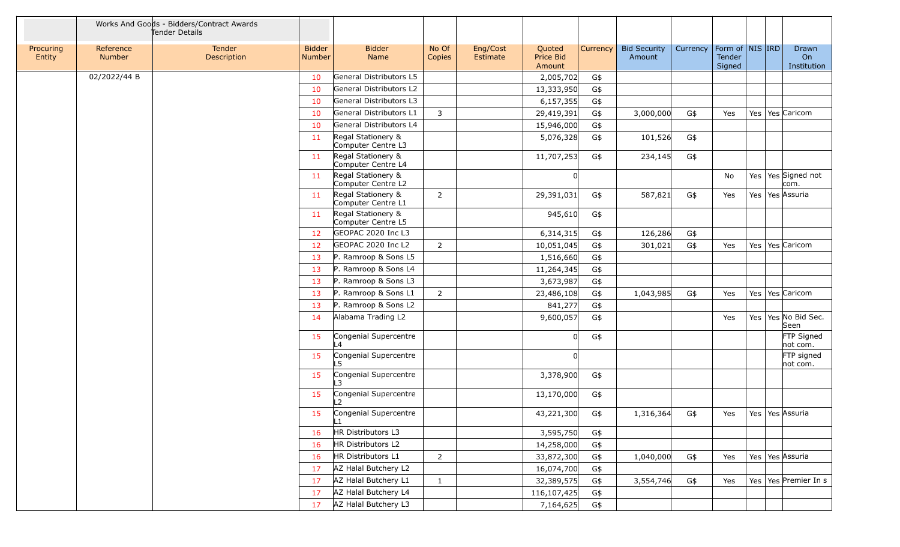|                     |                            | Works And Goods - Bidders/Contract Awards<br>Tender Details |                                |                                          |                 |                      |                               |              |                               |          |                  |                     |                                        |
|---------------------|----------------------------|-------------------------------------------------------------|--------------------------------|------------------------------------------|-----------------|----------------------|-------------------------------|--------------|-------------------------------|----------|------------------|---------------------|----------------------------------------|
| Procuring<br>Entity | Reference<br><b>Number</b> | Tender<br>Description                                       | <b>Bidder</b><br><b>Number</b> | <b>Bidder</b><br>Name                    | No Of<br>Copies | Eng/Cost<br>Estimate | Quoted<br>Price Bid<br>Amount | Currency $ $ | <b>Bid Security</b><br>Amount | Currency | Tender<br>Signed | Form of   NIS   IRD | Drawn<br>O <sub>n</sub><br>Institution |
|                     | 02/2022/44 B               |                                                             | 10                             | General Distributors L5                  |                 |                      | 2,005,702                     | G\$          |                               |          |                  |                     |                                        |
|                     |                            |                                                             | 10                             | General Distributors L2                  |                 |                      | 13,333,950                    | G\$          |                               |          |                  |                     |                                        |
|                     |                            |                                                             | 10                             | General Distributors L3                  |                 |                      | 6, 157, 355                   | G\$          |                               |          |                  |                     |                                        |
|                     |                            |                                                             | 10                             | General Distributors L1                  | 3               |                      | 29,419,391                    | G\$          | 3,000,000                     | G\$      | Yes              |                     | Yes   Yes   Caricom                    |
|                     |                            |                                                             | 10                             | General Distributors L4                  |                 |                      | 15,946,000                    | G\$          |                               |          |                  |                     |                                        |
|                     |                            |                                                             | 11                             | Regal Stationery &<br>Computer Centre L3 |                 |                      | 5,076,328                     | G\$          | 101,526                       | G\$      |                  |                     |                                        |
|                     |                            |                                                             | 11                             | Regal Stationery &<br>Computer Centre L4 |                 |                      | 11,707,253                    | G\$          | 234,145                       | G\$      |                  |                     |                                        |
|                     |                            |                                                             | 11                             | Regal Stationery &<br>Computer Centre L2 |                 |                      |                               |              |                               |          | No               |                     | Yes Yes Signed not<br>com.             |
|                     |                            |                                                             | 11                             | Regal Stationery &<br>Computer Centre L1 | 2               |                      | 29,391,031                    | G\$          | 587,821                       | G\$      | Yes              | Yes   Yes   Assuria |                                        |
|                     |                            |                                                             | 11                             | Regal Stationery &<br>Computer Centre L5 |                 |                      | 945,610                       | G\$          |                               |          |                  |                     |                                        |
|                     |                            |                                                             | 12                             | GEOPAC 2020 Inc L3                       |                 |                      | 6,314,315                     | G\$          | 126,286                       | G\$      |                  |                     |                                        |
|                     |                            |                                                             | 12                             | GEOPAC 2020 Inc L2                       | $\overline{2}$  |                      | 10,051,045                    | G\$          | 301,021                       | G\$      | Yes              | Yes                 | Yes Caricom                            |
|                     |                            |                                                             | 13                             | P. Ramroop & Sons L5                     |                 |                      | 1,516,660                     | G\$          |                               |          |                  |                     |                                        |
|                     |                            |                                                             | 13                             | P. Ramroop & Sons L4                     |                 |                      | 11,264,345                    | G\$          |                               |          |                  |                     |                                        |
|                     |                            |                                                             | 13                             | P. Ramroop & Sons L3                     |                 |                      | 3,673,987                     | G\$          |                               |          |                  |                     |                                        |
|                     |                            |                                                             | 13                             | P. Ramroop & Sons L1                     | 2               |                      | 23,486,108                    | G\$          | 1,043,985                     | G\$      | Yes              |                     | Yes   Yes   Caricom                    |
|                     |                            |                                                             | 13                             | P. Ramroop & Sons L2                     |                 |                      | 841,277                       | G\$          |                               |          |                  |                     |                                        |
|                     |                            |                                                             | 14                             | Alabama Trading L2                       |                 |                      | 9,600,057                     | G\$          |                               |          | Yes              |                     | Yes   Yes   No Bid Sec.<br>Seen        |
|                     |                            |                                                             | 15                             | Congenial Supercentre<br>$\overline{A}$  |                 |                      |                               | G\$          |                               |          |                  |                     | FTP Signed<br>not com.                 |
|                     |                            |                                                             | 15                             | Congenial Supercentre                    |                 |                      |                               |              |                               |          |                  |                     | FTP signed<br>not com.                 |
|                     |                            |                                                             | 15                             | Congenial Supercentre                    |                 |                      | 3,378,900                     | G\$          |                               |          |                  |                     |                                        |
|                     |                            |                                                             | 15                             | Congenial Supercentre<br>$\overline{2}$  |                 |                      | 13,170,000                    | G\$          |                               |          |                  |                     |                                        |
|                     |                            |                                                             | 15                             | Congenial Supercentre<br>L1              |                 |                      | 43,221,300                    | G\$          | 1,316,364                     | G\$      | Yes              | Yes   Yes Assuria   |                                        |
|                     |                            |                                                             | 16                             | HR Distributors L3                       |                 |                      | 3,595,750                     | G\$          |                               |          |                  |                     |                                        |
|                     |                            |                                                             | 16                             | HR Distributors L2                       |                 |                      | 14,258,000                    | G\$          |                               |          |                  |                     |                                        |
|                     |                            |                                                             | 16                             | HR Distributors L1                       | $\overline{2}$  |                      | 33,872,300                    | G\$          | 1,040,000                     | G\$      | Yes              | Yes   Yes   Assuria |                                        |
|                     |                            |                                                             | 17                             | AZ Halal Butchery L2                     |                 |                      | 16,074,700                    | G\$          |                               |          |                  |                     |                                        |
|                     |                            |                                                             | 17                             | AZ Halal Butchery L1                     | $\mathbf{1}$    |                      | 32,389,575                    | G\$          | 3,554,746                     | G\$      | Yes              |                     | Yes Yes Premier In s                   |
|                     |                            |                                                             | 17                             | AZ Halal Butchery L4                     |                 |                      | 116,107,425                   | G\$          |                               |          |                  |                     |                                        |
|                     |                            |                                                             | 17                             | AZ Halal Butchery L3                     |                 |                      | 7,164,625                     | G\$          |                               |          |                  |                     |                                        |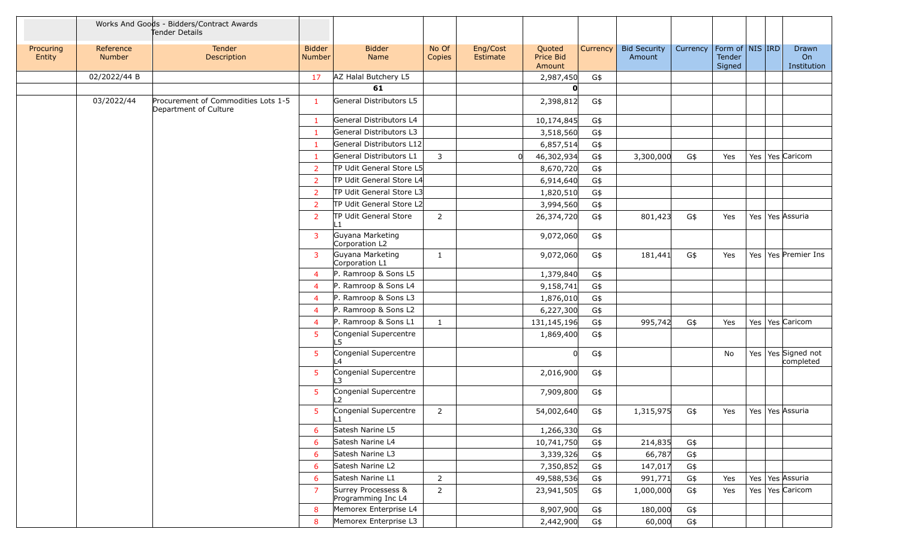|                     |                            | Works And Goods - Bidders/Contract Awards<br>Tender Details  |                                |                                           |                 |                      |                               |                 |                               |          |                                     |  |                                 |
|---------------------|----------------------------|--------------------------------------------------------------|--------------------------------|-------------------------------------------|-----------------|----------------------|-------------------------------|-----------------|-------------------------------|----------|-------------------------------------|--|---------------------------------|
| Procuring<br>Entity | Reference<br><b>Number</b> | Tender<br><b>Description</b>                                 | <b>Bidder</b><br><b>Number</b> | <b>Bidder</b><br>Name                     | No Of<br>Copies | Eng/Cost<br>Estimate | Quoted<br>Price Bid<br>Amount | <b>Currency</b> | <b>Bid Security</b><br>Amount | Currency | Form of NIS IRD<br>Tender<br>Signed |  | Drawn<br>On<br>Institution      |
|                     | 02/2022/44 B               |                                                              | 17                             | AZ Halal Butchery L5                      |                 |                      | 2,987,450                     | G\$             |                               |          |                                     |  |                                 |
|                     |                            |                                                              |                                | 61                                        |                 |                      |                               |                 |                               |          |                                     |  |                                 |
|                     | 03/2022/44                 | Procurement of Commodities Lots 1-5<br>Department of Culture | $\mathbf{1}$                   | General Distributors L5                   |                 |                      | 2,398,812                     | G\$             |                               |          |                                     |  |                                 |
|                     |                            |                                                              | $\mathbf{1}$                   | General Distributors L4                   |                 |                      | 10,174,845                    | G\$             |                               |          |                                     |  |                                 |
|                     |                            |                                                              | -1                             | General Distributors L3                   |                 |                      | 3,518,560                     | G\$             |                               |          |                                     |  |                                 |
|                     |                            |                                                              | $\mathbf{1}$                   | General Distributors L12                  |                 |                      | 6,857,514                     | G\$             |                               |          |                                     |  |                                 |
|                     |                            |                                                              | $\mathbf{1}$                   | General Distributors L1                   | 3               | <sup>n</sup>         | 46,302,934                    | G\$             | 3,300,000                     | G\$      | Yes                                 |  | Yes   Yes   Caricom             |
|                     |                            |                                                              | <sup>2</sup>                   | TP Udit General Store L5                  |                 |                      | 8,670,720                     | G\$             |                               |          |                                     |  |                                 |
|                     |                            |                                                              | 2                              | TP Udit General Store L4                  |                 |                      | 6,914,640                     | G\$             |                               |          |                                     |  |                                 |
|                     |                            |                                                              | $\overline{2}$                 | TP Udit General Store L3                  |                 |                      | 1,820,510                     | G\$             |                               |          |                                     |  |                                 |
|                     |                            |                                                              | $\overline{2}$                 | TP Udit General Store L2                  |                 |                      | 3,994,560                     | G\$             |                               |          |                                     |  |                                 |
|                     |                            |                                                              | $\overline{2}$                 | TP Udit General Store<br>∣ 1              | $\overline{2}$  |                      | 26,374,720                    | G\$             | 801,423                       | G\$      | Yes                                 |  | Yes   Yes   Assuria             |
|                     |                            |                                                              | 3                              | Guyana Marketing<br>Corporation L2        |                 |                      | 9,072,060                     | G\$             |                               |          |                                     |  |                                 |
|                     |                            |                                                              | 3                              | Guyana Marketing<br>Corporation L1        | 1               |                      | 9,072,060                     | G\$             | 181,441                       | G\$      | Yes                                 |  | Yes   Yes   Premier Ins         |
|                     |                            |                                                              | $\overline{4}$                 | P. Ramroop & Sons L5                      |                 |                      | 1,379,840                     | G\$             |                               |          |                                     |  |                                 |
|                     |                            |                                                              | $\overline{4}$                 | P. Ramroop & Sons L4                      |                 |                      | 9,158,741                     | G\$             |                               |          |                                     |  |                                 |
|                     |                            |                                                              | $\overline{4}$                 | P. Ramroop & Sons L3                      |                 |                      | 1,876,010                     | G\$             |                               |          |                                     |  |                                 |
|                     |                            |                                                              | $\overline{4}$                 | P. Ramroop & Sons L2                      |                 |                      | 6,227,300                     | G\$             |                               |          |                                     |  |                                 |
|                     |                            |                                                              | $\overline{4}$                 | P. Ramroop & Sons L1                      | $\mathbf{1}$    |                      | 131,145,196                   | G\$             | 995,742                       | G\$      | Yes                                 |  | Yes   Yes   Caricom             |
|                     |                            |                                                              | $5\phantom{.0}$                | Congenial Supercentre<br>.5               |                 |                      | 1,869,400                     | G\$             |                               |          |                                     |  |                                 |
|                     |                            |                                                              | 5                              | Congenial Supercentre<br>$\overline{4}$   |                 |                      | <sup>n</sup>                  | G\$             |                               |          | No                                  |  | Yes Yes Signed not<br>completed |
|                     |                            |                                                              | 5                              | Congenial Supercentre<br>$\mathbf{B}$     |                 |                      | 2,016,900                     | G\$             |                               |          |                                     |  |                                 |
|                     |                            |                                                              | 5                              | Congenial Supercentre<br>$\mathcal{L}$    |                 |                      | 7,909,800                     | G\$             |                               |          |                                     |  |                                 |
|                     |                            |                                                              | $5\phantom{.0}$                | Congenial Supercentre<br>L1               | 2               |                      | 54,002,640                    | G\$             | 1,315,975                     | G\$      | Yes                                 |  | Yes   Yes Assuria               |
|                     |                            |                                                              | 6                              | Satesh Narine L5                          |                 |                      | 1,266,330                     | G\$             |                               |          |                                     |  |                                 |
|                     |                            |                                                              | 6                              | Satesh Narine L4                          |                 |                      | 10,741,750                    | G\$             | 214,835                       | G\$      |                                     |  |                                 |
|                     |                            |                                                              | 6                              | Satesh Narine L3                          |                 |                      | 3,339,326                     | G\$             | 66,787                        | G\$      |                                     |  |                                 |
|                     |                            |                                                              | 6                              | Satesh Narine L2                          |                 |                      | 7,350,852                     | G\$             | 147,017                       | G\$      |                                     |  |                                 |
|                     |                            |                                                              | 6                              | Satesh Narine L1                          | $\overline{2}$  |                      | 49,588,536                    | G\$             | 991,771                       | G\$      | Yes                                 |  | Yes   Yes Assuria               |
|                     |                            |                                                              | $\overline{7}$                 | Surrey Processess &<br>Programming Inc L4 | $\overline{2}$  |                      | 23,941,505                    | G\$             | 1,000,000                     | G\$      | Yes                                 |  | Yes   Yes   Caricom             |
|                     |                            |                                                              | 8                              | Memorex Enterprise L4                     |                 |                      | 8,907,900                     | G\$             | 180,000                       | G\$      |                                     |  |                                 |
|                     |                            |                                                              | $8^{\circ}$                    | Memorex Enterprise L3                     |                 |                      | 2,442,900                     | G\$             | 60,000                        | G\$      |                                     |  |                                 |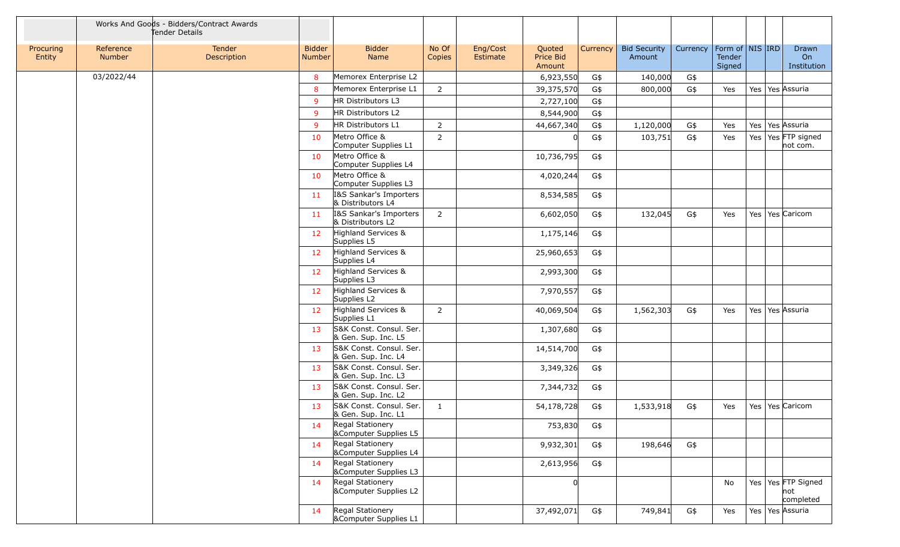|                     |                     | Works And Goods - Bidders/Contract Awards<br>Tender Details |                                |                                                      |                 |                      |                               |          |                               |          |                                     |                     |                                           |
|---------------------|---------------------|-------------------------------------------------------------|--------------------------------|------------------------------------------------------|-----------------|----------------------|-------------------------------|----------|-------------------------------|----------|-------------------------------------|---------------------|-------------------------------------------|
| Procuring<br>Entity | Reference<br>Number | Tender<br>Description                                       | <b>Bidder</b><br><b>Number</b> | <b>Bidder</b><br>Name                                | No Of<br>Copies | Eng/Cost<br>Estimate | Quoted<br>Price Bid<br>Amount | Currency | <b>Bid Security</b><br>Amount | Currency | Form of NIS IRD<br>Tender<br>Signed |                     | Drawn<br>On<br>Institution                |
|                     | 03/2022/44          |                                                             | 8                              | Memorex Enterprise L2                                |                 |                      | 6,923,550                     | G\$      | 140,000                       | G\$      |                                     |                     |                                           |
|                     |                     |                                                             | 8                              | Memorex Enterprise L1                                | $\overline{2}$  |                      | 39,375,570                    | G\$      | 800,000                       | G\$      | Yes                                 | Yes   Yes Assuria   |                                           |
|                     |                     |                                                             | 9                              | HR Distributors L3                                   |                 |                      | 2,727,100                     | G\$      |                               |          |                                     |                     |                                           |
|                     |                     |                                                             | 9                              | HR Distributors L2                                   |                 |                      | 8,544,900                     | G\$      |                               |          |                                     |                     |                                           |
|                     |                     |                                                             | 9                              | HR Distributors L1                                   | $\overline{2}$  |                      | 44,667,340                    | G\$      | 1,120,000                     | G\$      | Yes                                 | Yes   Yes   Assuria |                                           |
|                     |                     |                                                             | 10                             | Metro Office &<br>Computer Supplies L1               | $\overline{2}$  |                      |                               | G\$      | 103,751                       | G\$      | Yes                                 |                     | Yes   Yes FTP signed<br>not com.          |
|                     |                     |                                                             | 10                             | Metro Office &<br>Computer Supplies L4               |                 |                      | 10,736,795                    | G\$      |                               |          |                                     |                     |                                           |
|                     |                     |                                                             | 10                             | Metro Office &<br>Computer Supplies L3               |                 |                      | 4,020,244                     | G\$      |                               |          |                                     |                     |                                           |
|                     |                     |                                                             | 11                             | 1&S Sankar's Importers<br>& Distributors L4          |                 |                      | 8,534,585                     | G\$      |                               |          |                                     |                     |                                           |
|                     |                     |                                                             | 11                             | I&S Sankar's Importers<br>& Distributors L2          | $\overline{2}$  |                      | 6,602,050                     | G\$      | 132,045                       | G\$      | Yes                                 |                     | Yes   Yes   Caricom                       |
|                     |                     |                                                             | 12                             | Highland Services &<br>Supplies L5                   |                 |                      | 1,175,146                     | G\$      |                               |          |                                     |                     |                                           |
|                     |                     |                                                             | 12 <sup>2</sup>                | Highland Services &<br>Supplies L4                   |                 |                      | 25,960,653                    | G\$      |                               |          |                                     |                     |                                           |
|                     |                     |                                                             | 12 <sup>2</sup>                | Highland Services &<br>Supplies L3                   |                 |                      | 2,993,300                     | G\$      |                               |          |                                     |                     |                                           |
|                     |                     |                                                             | 12 <sup>2</sup>                | Highland Services &<br>Supplies L2                   |                 |                      | 7,970,557                     | G\$      |                               |          |                                     |                     |                                           |
|                     |                     |                                                             | 12                             | Highland Services &<br>Supplies L1                   | $\overline{2}$  |                      | 40,069,504                    | G\$      | 1,562,303                     | G\$      | Yes                                 | Yes   Yes Assuria   |                                           |
|                     |                     |                                                             | 13                             | S&K Const. Consul. Ser.<br>& Gen. Sup. Inc. L5       |                 |                      | 1,307,680                     | G\$      |                               |          |                                     |                     |                                           |
|                     |                     |                                                             | 13                             | S&K Const. Consul. Ser.<br>& Gen. Sup. Inc. L4       |                 |                      | 14,514,700                    | G\$      |                               |          |                                     |                     |                                           |
|                     |                     |                                                             | 13                             | S&K Const. Consul. Ser.<br>& Gen. Sup. Inc. L3       |                 |                      | 3,349,326                     | G\$      |                               |          |                                     |                     |                                           |
|                     |                     |                                                             | 13                             | S&K Const. Consul. Ser.<br>& Gen. Sup. Inc. L2       |                 |                      | 7,344,732                     | G\$      |                               |          |                                     |                     |                                           |
|                     |                     |                                                             | 13                             | S&K Const. Consul. Ser.<br>& Gen. Sup. Inc. L1       | 1               |                      | 54,178,728                    | G\$      | 1,533,918                     | G\$      | Yes                                 |                     | Yes   Yes   Caricom                       |
|                     |                     |                                                             | 14                             | Regal Stationery<br><b>&amp;Computer Supplies L5</b> |                 |                      | 753,830                       | G\$      |                               |          |                                     |                     |                                           |
|                     |                     |                                                             | 14                             | Regal Stationery<br>&Computer Supplies L4            |                 |                      | 9,932,301                     | G\$      | 198,646                       | G\$      |                                     |                     |                                           |
|                     |                     |                                                             | 14                             | Regal Stationery<br>&Computer Supplies L3            |                 |                      | 2,613,956                     | G\$      |                               |          |                                     |                     |                                           |
|                     |                     |                                                             | 14                             | Regal Stationery<br>&Computer Supplies L2            |                 |                      |                               |          |                               |          | No                                  |                     | Yes   Yes FTP Signed<br> not<br>completed |
|                     |                     |                                                             | 14                             | Regal Stationery<br><b>&amp;Computer Supplies L1</b> |                 |                      | 37,492,071                    | G\$      | 749,841                       | G\$      | Yes                                 |                     | Yes   Yes   Assuria                       |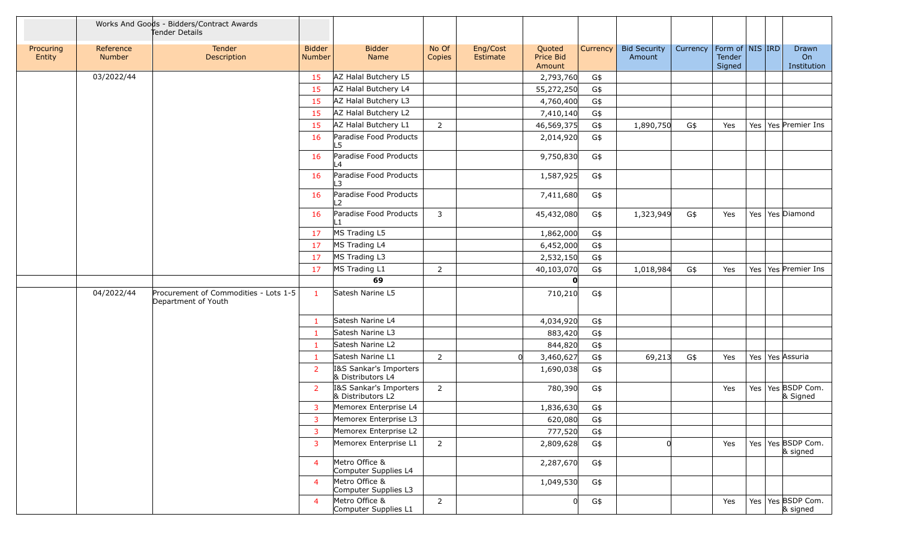|                     |                     | Works And Goods - Bidders/Contract Awards<br>Tender Details  |                                |                                             |                 |                      |                               |          |                               |          |                  |                     |                                   |
|---------------------|---------------------|--------------------------------------------------------------|--------------------------------|---------------------------------------------|-----------------|----------------------|-------------------------------|----------|-------------------------------|----------|------------------|---------------------|-----------------------------------|
| Procuring<br>Entity | Reference<br>Number | Tender<br><b>Description</b>                                 | <b>Bidder</b><br><b>Number</b> | <b>Bidder</b><br>Name                       | No Of<br>Copies | Eng/Cost<br>Estimate | Quoted<br>Price Bid<br>Amount | Currency | <b>Bid Security</b><br>Amount | Currency | Tender<br>Signed | Form of   NIS   IRD | Drawn<br>On<br>Institution        |
|                     | 03/2022/44          |                                                              | 15                             | AZ Halal Butchery L5                        |                 |                      | 2,793,760                     | G\$      |                               |          |                  |                     |                                   |
|                     |                     |                                                              | 15                             | AZ Halal Butchery L4                        |                 |                      | 55,272,250                    | G\$      |                               |          |                  |                     |                                   |
|                     |                     |                                                              | 15                             | AZ Halal Butchery L3                        |                 |                      | 4,760,400                     | G\$      |                               |          |                  |                     |                                   |
|                     |                     |                                                              | 15                             | AZ Halal Butchery L2                        |                 |                      | 7,410,140                     | G\$      |                               |          |                  |                     |                                   |
|                     |                     |                                                              | 15                             | AZ Halal Butchery L1                        | 2               |                      | 46,569,375                    | G\$      | 1,890,750                     | G\$      | Yes              |                     | Yes   Yes   Premier Ins           |
|                     |                     |                                                              | 16                             | Paradise Food Products<br>L5                |                 |                      | 2,014,920                     | G\$      |                               |          |                  |                     |                                   |
|                     |                     |                                                              | 16                             | Paradise Food Products<br>$\mathsf{L}4$     |                 |                      | 9,750,830                     | G\$      |                               |          |                  |                     |                                   |
|                     |                     |                                                              | 16                             | Paradise Food Products<br>$\mathsf{L}3$     |                 |                      | 1,587,925                     | G\$      |                               |          |                  |                     |                                   |
|                     |                     |                                                              | 16                             | Paradise Food Products<br>$\overline{2}$    |                 |                      | 7,411,680                     | G\$      |                               |          |                  |                     |                                   |
|                     |                     |                                                              | 16                             | Paradise Food Products<br>$\mathbf{1}$      | 3               |                      | 45,432,080                    | G\$      | 1,323,949                     | G\$      | Yes              |                     | Yes   Yes   Diamond               |
|                     |                     |                                                              | 17                             | MS Trading L5                               |                 |                      | 1,862,000                     | G\$      |                               |          |                  |                     |                                   |
|                     |                     |                                                              | 17                             | MS Trading L4                               |                 |                      | 6,452,000                     | G\$      |                               |          |                  |                     |                                   |
|                     |                     |                                                              | 17                             | MS Trading L3                               |                 |                      | 2,532,150                     | G\$      |                               |          |                  |                     |                                   |
|                     |                     |                                                              | 17                             | MS Trading L1<br>69                         | 2               |                      | 40,103,070                    | G\$      | 1,018,984                     | G\$      | Yes              |                     | Yes   Yes   Premier Ins           |
|                     |                     |                                                              |                                |                                             |                 |                      | $\mathbf{0}$                  |          |                               |          |                  |                     |                                   |
|                     | 04/2022/44          | Procurement of Commodities - Lots 1-5<br>Department of Youth | $\mathbf{1}$                   | Satesh Narine L5                            |                 |                      | 710,210                       | G\$      |                               |          |                  |                     |                                   |
|                     |                     |                                                              | -1                             | Satesh Narine L4                            |                 |                      | 4,034,920                     | G\$      |                               |          |                  |                     |                                   |
|                     |                     |                                                              | -1                             | Satesh Narine L3                            |                 |                      | 883,420                       | G\$      |                               |          |                  |                     |                                   |
|                     |                     |                                                              | -1                             | Satesh Narine L2                            |                 |                      | 844,820                       | G\$      |                               |          |                  |                     |                                   |
|                     |                     |                                                              | $\mathbf{1}$                   | Satesh Narine L1                            | 2               | $\Omega$             | 3,460,627                     | G\$      | 69,213                        | G\$      | Yes              | Yes   Yes Assuria   |                                   |
|                     |                     |                                                              | 2                              | I&S Sankar's Importers<br>& Distributors L4 |                 |                      | 1,690,038                     | G\$      |                               |          |                  |                     |                                   |
|                     |                     |                                                              | $\overline{2}$                 | I&S Sankar's Importers<br>& Distributors L2 | $\overline{2}$  |                      | 780,390                       | G\$      |                               |          | Yes              |                     | Yes   Yes   BSDP Com.<br>& Signed |
|                     |                     |                                                              | $\overline{3}$                 | Memorex Enterprise L4                       |                 |                      | 1,836,630                     | G\$      |                               |          |                  |                     |                                   |
|                     |                     |                                                              | 3                              | Memorex Enterprise L3                       |                 |                      | 620,080                       | G\$      |                               |          |                  |                     |                                   |
|                     |                     |                                                              | $\overline{3}$                 | Memorex Enterprise L2                       |                 |                      | 777,520                       | G\$      |                               |          |                  |                     |                                   |
|                     |                     |                                                              | 3                              | Memorex Enterprise L1                       | $\overline{2}$  |                      | 2,809,628                     | G\$      | $\Omega$                      |          | Yes              |                     | Yes   Yes BSDP Com.<br>& signed   |
|                     |                     |                                                              | $\overline{4}$                 | Metro Office &<br>Computer Supplies L4      |                 |                      | 2,287,670                     | G\$      |                               |          |                  |                     |                                   |
|                     |                     |                                                              | $\overline{4}$                 | Metro Office &<br>Computer Supplies L3      |                 |                      | 1,049,530                     | G\$      |                               |          |                  |                     |                                   |
|                     |                     |                                                              | $\overline{4}$                 | Metro Office &<br>Computer Supplies L1      | $\overline{2}$  |                      | $\overline{0}$                | G\$      |                               |          | Yes              |                     | Yes   Yes   BSDP Com.<br>& signed |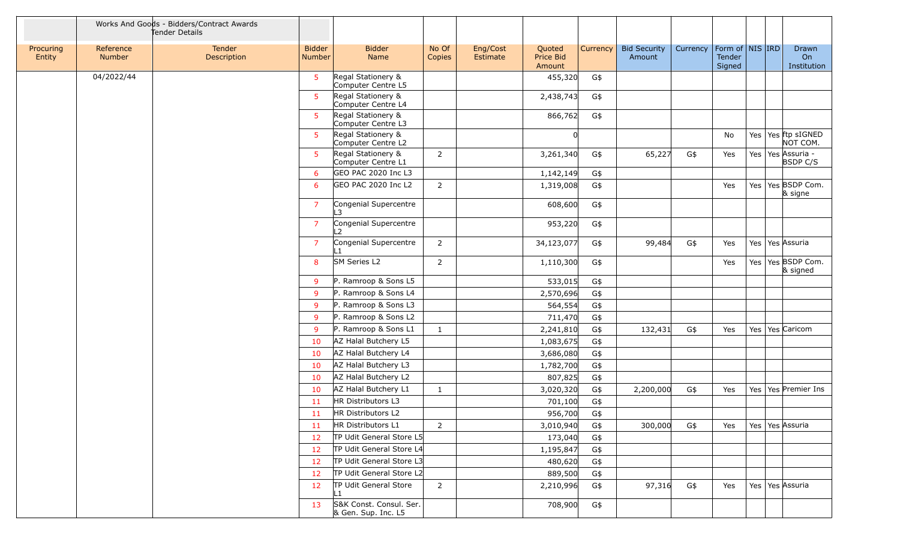|                     |                            | Works And Goods - Bidders/Contract Awards<br>Tender Details |                                |                                                |                 |                      |                               |          |                               |          |                                         |                       |                             |
|---------------------|----------------------------|-------------------------------------------------------------|--------------------------------|------------------------------------------------|-----------------|----------------------|-------------------------------|----------|-------------------------------|----------|-----------------------------------------|-----------------------|-----------------------------|
| Procuring<br>Entity | Reference<br><b>Number</b> | Tender<br>Description                                       | <b>Bidder</b><br><b>Number</b> | <b>Bidder</b><br>Name                          | No Of<br>Copies | Eng/Cost<br>Estimate | Quoted<br>Price Bid<br>Amount | Currency | <b>Bid Security</b><br>Amount | Currency | Form of   NIS   IRD<br>Tender<br>Signed |                       | Drawn<br>On<br>Institution  |
|                     | 04/2022/44                 |                                                             | -5                             | Regal Stationery &<br>Computer Centre L5       |                 |                      | 455,320                       | G\$      |                               |          |                                         |                       |                             |
|                     |                            |                                                             | -5                             | Regal Stationery &<br>Computer Centre L4       |                 |                      | 2,438,743                     | G\$      |                               |          |                                         |                       |                             |
|                     |                            |                                                             | -5                             | Regal Stationery &<br>Computer Centre L3       |                 |                      | 866,762                       | G\$      |                               |          |                                         |                       |                             |
|                     |                            |                                                             | $5^{\circ}$                    | Regal Stationery &<br>Computer Centre L2       |                 |                      |                               |          |                               |          | No                                      | Yes                   | Yes ftp sIGNED<br>NOT COM.  |
|                     |                            |                                                             | 5                              | Regal Stationery &<br>Computer Centre L1       | $\overline{2}$  |                      | 3,261,340                     | G\$      | 65,227                        | G\$      | Yes                                     | Yes   Yes   Assuria - | <b>BSDP C/S</b>             |
|                     |                            |                                                             | 6                              | GEO PAC 2020 Inc L3                            |                 |                      | 1,142,149                     | G\$      |                               |          |                                         |                       |                             |
|                     |                            |                                                             | 6                              | GEO PAC 2020 Inc L2                            | $\overline{2}$  |                      | 1,319,008                     | G\$      |                               |          | Yes                                     | Yes                   | Yes BSDP Com.<br>$\&$ signe |
|                     |                            |                                                             | $\overline{7}$                 | Congenial Supercentre<br>$\mathbf{B}$          |                 |                      | 608,600                       | G\$      |                               |          |                                         |                       |                             |
|                     |                            |                                                             | $\overline{7}$                 | Congenial Supercentre<br>$\overline{2}$        |                 |                      | 953,220                       | G\$      |                               |          |                                         |                       |                             |
|                     |                            |                                                             | $\overline{7}$                 | Congenial Supercentre                          | $\overline{2}$  |                      | 34,123,077                    | G\$      | 99,484                        | G\$      | Yes                                     | Yes                   | Yes Assuria                 |
|                     |                            |                                                             | 8                              | SM Series L2                                   | 2               |                      | 1,110,300                     | G\$      |                               |          | Yes                                     | Yes                   | Yes BSDP Com.<br>& signed   |
|                     |                            |                                                             | 9                              | P. Ramroop & Sons L5                           |                 |                      | 533,015                       | G\$      |                               |          |                                         |                       |                             |
|                     |                            |                                                             | 9                              | P. Ramroop & Sons L4                           |                 |                      | 2,570,696                     | G\$      |                               |          |                                         |                       |                             |
|                     |                            |                                                             | 9                              | P. Ramroop & Sons L3                           |                 |                      | 564,554                       | G\$      |                               |          |                                         |                       |                             |
|                     |                            |                                                             | 9                              | P. Ramroop & Sons L2                           |                 |                      | 711,470                       | G\$      |                               |          |                                         |                       |                             |
|                     |                            |                                                             | 9                              | P. Ramroop & Sons L1                           | $\mathbf{1}$    |                      | 2,241,810                     | G\$      | 132,431                       | G\$      | Yes                                     | Yes                   | Yes Caricom                 |
|                     |                            |                                                             | 10                             | AZ Halal Butchery L5                           |                 |                      | 1,083,675                     | G\$      |                               |          |                                         |                       |                             |
|                     |                            |                                                             | 10                             | AZ Halal Butchery L4                           |                 |                      | 3,686,080                     | G\$      |                               |          |                                         |                       |                             |
|                     |                            |                                                             | 10                             | AZ Halal Butchery L3                           |                 |                      | 1,782,700                     | G\$      |                               |          |                                         |                       |                             |
|                     |                            |                                                             | 10                             | AZ Halal Butchery L2                           |                 |                      | 807,825                       | G\$      |                               |          |                                         |                       |                             |
|                     |                            |                                                             | 10                             | AZ Halal Butchery L1                           | $\mathbf{1}$    |                      | 3,020,320                     | G\$      | 2,200,000                     | G\$      | Yes                                     | Yes                   | Yes Premier Ins             |
|                     |                            |                                                             | 11                             | HR Distributors L3                             |                 |                      | 701,100                       | G\$      |                               |          |                                         |                       |                             |
|                     |                            |                                                             | 11                             | HR Distributors L2                             |                 |                      | 956,700                       | G\$      |                               |          |                                         |                       |                             |
|                     |                            |                                                             | 11                             | HR Distributors L1                             | $\overline{2}$  |                      | 3,010,940                     | G\$      | 300,000                       | G\$      | Yes                                     | Yes   Yes   Assuria   |                             |
|                     |                            |                                                             | 12                             | TP Udit General Store L5                       |                 |                      | 173,040                       | G\$      |                               |          |                                         |                       |                             |
|                     |                            |                                                             | 12                             | TP Udit General Store L4                       |                 |                      | 1,195,847                     | G\$      |                               |          |                                         |                       |                             |
|                     |                            |                                                             | 12                             | TP Udit General Store L3                       |                 |                      | 480,620                       | G\$      |                               |          |                                         |                       |                             |
|                     |                            |                                                             | 12                             | TP Udit General Store L2                       |                 |                      | 889,500                       | G\$      |                               |          |                                         |                       |                             |
|                     |                            |                                                             | 12                             | TP Udit General Store<br>L1.                   | $\overline{2}$  |                      | 2,210,996                     | G\$      | 97,316                        | G\$      | Yes                                     | Yes   Yes Assuria     |                             |
|                     |                            |                                                             | 13                             | S&K Const. Consul. Ser.<br>& Gen. Sup. Inc. L5 |                 |                      | 708,900                       | G\$      |                               |          |                                         |                       |                             |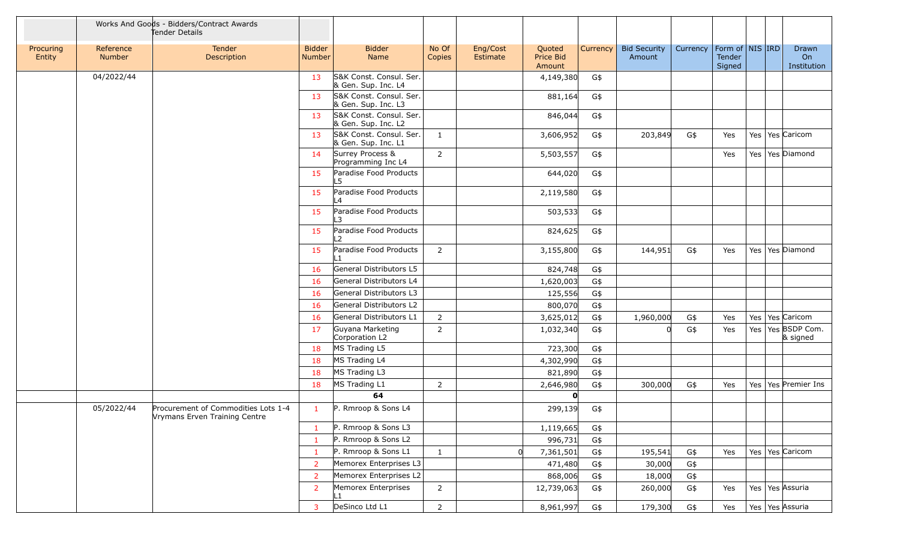|                     |                     | Works And Goods - Bidders/Contract Awards<br>Tender Details          |                                |                                                               |                 |                      |                               |            |                               |            |                                         |            |                                          |
|---------------------|---------------------|----------------------------------------------------------------------|--------------------------------|---------------------------------------------------------------|-----------------|----------------------|-------------------------------|------------|-------------------------------|------------|-----------------------------------------|------------|------------------------------------------|
| Procuring<br>Entity | Reference<br>Number | Tender<br>Description                                                | <b>Bidder</b><br><b>Number</b> | <b>Bidder</b><br>Name                                         | No Of<br>Copies | Eng/Cost<br>Estimate | Quoted<br>Price Bid<br>Amount | Currency   | <b>Bid Security</b><br>Amount | Currency   | Form of   NIS   IRD<br>Tender<br>Signed |            | Drawn<br>On<br>Institution               |
|                     | 04/2022/44          |                                                                      | 13                             | S&K Const. Consul. Ser.<br>& Gen. Sup. Inc. L4                |                 |                      | 4,149,380                     | G\$        |                               |            |                                         |            |                                          |
|                     |                     |                                                                      | 13                             | S&K Const. Consul. Ser.<br>& Gen. Sup. Inc. L3                |                 |                      | 881,164                       | G\$        |                               |            |                                         |            |                                          |
|                     |                     |                                                                      | 13                             | S&K Const. Consul. Ser.<br>& Gen. Sup. Inc. L2                |                 |                      | 846,044                       | G\$        |                               |            |                                         |            |                                          |
|                     |                     |                                                                      | 13                             | S&K Const. Consul. Ser.<br>& Gen. Sup. Inc. L1                | 1               |                      | 3,606,952                     | G\$        | 203,849                       | G\$        | Yes                                     |            | Yes   Yes   Caricom                      |
|                     |                     |                                                                      | 14                             | Surrey Process &<br>Programming Inc L4                        | $\overline{2}$  |                      | 5,503,557                     | G\$        |                               |            | Yes                                     |            | Yes   Yes   Diamond                      |
|                     |                     |                                                                      | 15                             | Paradise Food Products<br>L5                                  |                 |                      | 644,020                       | G\$        |                               |            |                                         |            |                                          |
|                     |                     |                                                                      | 15                             | Paradise Food Products<br>$\overline{4}$                      |                 |                      | 2,119,580                     | G\$        |                               |            |                                         |            |                                          |
|                     |                     |                                                                      | 15                             | Paradise Food Products<br>L3                                  |                 |                      | 503,533                       | G\$        |                               |            |                                         |            |                                          |
|                     |                     |                                                                      | 15                             | Paradise Food Products<br>- 2                                 |                 |                      | 824,625                       | G\$        |                               |            |                                         |            |                                          |
|                     |                     |                                                                      | 15                             | Paradise Food Products<br>∣ 1                                 | 2               |                      | 3,155,800                     | G\$        | 144,951                       | G\$        | Yes                                     |            | Yes   Yes   Diamond                      |
|                     |                     |                                                                      | 16                             | General Distributors L5                                       |                 |                      | 824,748                       | G\$        |                               |            |                                         |            |                                          |
|                     |                     |                                                                      | 16                             | General Distributors L4                                       |                 |                      | 1,620,003                     | G\$        |                               |            |                                         |            |                                          |
|                     |                     |                                                                      | 16                             | General Distributors L3                                       |                 |                      | 125,556                       | G\$        |                               |            |                                         |            |                                          |
|                     |                     |                                                                      | 16                             | General Distributors L2                                       |                 |                      | 800,070                       | G\$        |                               |            |                                         |            |                                          |
|                     |                     |                                                                      | 16<br>17                       | General Distributors L1<br>Guyana Marketing<br>Corporation L2 | 2<br>2          |                      | 3,625,012<br>1,032,340        | G\$<br>G\$ | 1,960,000                     | G\$<br>G\$ | Yes<br>Yes                              | Yes<br>Yes | Yes Caricom<br>Yes BSDP Com.<br>& signed |
|                     |                     |                                                                      | 18                             | MS Trading L5                                                 |                 |                      | 723,300                       | G\$        |                               |            |                                         |            |                                          |
|                     |                     |                                                                      | 18                             | MS Trading L4                                                 |                 |                      | 4,302,990                     | G\$        |                               |            |                                         |            |                                          |
|                     |                     |                                                                      | 18                             | MS Trading L3                                                 |                 |                      | 821,890                       | G\$        |                               |            |                                         |            |                                          |
|                     |                     |                                                                      | 18                             | MS Trading L1                                                 | $\overline{2}$  |                      | 2,646,980                     | G\$        | 300,000                       | G\$        | Yes                                     |            | Yes   Yes   Premier Ins                  |
|                     |                     |                                                                      |                                | 64                                                            |                 |                      | O                             |            |                               |            |                                         |            |                                          |
|                     | 05/2022/44          | Procurement of Commodities Lots 1-4<br>Vrymans Erven Training Centre | $\mathbf{1}$                   | P. Rmroop & Sons L4                                           |                 |                      | 299,139                       | G\$        |                               |            |                                         |            |                                          |
|                     |                     |                                                                      | $\mathbf{1}$                   | P. Rmroop & Sons L3                                           |                 |                      | 1,119,665                     | G\$        |                               |            |                                         |            |                                          |
|                     |                     |                                                                      | $\mathbf{1}$                   | P. Rmroop & Sons L2                                           |                 |                      | 996,731                       | G\$        |                               |            |                                         |            |                                          |
|                     |                     |                                                                      | $\mathbf{1}$                   | P. Rmroop & Sons L1                                           | $\mathbf{1}$    | 0                    | 7,361,501                     | G\$        | 195,541                       | G\$        | Yes                                     |            | Yes   Yes   Caricom                      |
|                     |                     |                                                                      | $\overline{2}$                 | Memorex Enterprises L3                                        |                 |                      | 471,480                       | G\$        | 30,000                        | G\$        |                                         |            |                                          |
|                     |                     |                                                                      | $\overline{2}$                 | Memorex Enterprises L2                                        |                 |                      | 868,006                       | G\$        | 18,000                        | G\$        |                                         |            |                                          |
|                     |                     |                                                                      | <sup>2</sup>                   | Memorex Enterprises<br>L1                                     | $\overline{2}$  |                      | 12,739,063                    | G\$        | 260,000                       | G\$        | Yes                                     |            | Yes   Yes   Assuria                      |
|                     |                     |                                                                      | $\overline{3}$                 | DeSinco Ltd L1                                                | $2^{\circ}$     |                      | 8,961,997                     | G\$        | 179,300                       | G\$        | Yes                                     |            | Yes   Yes   Assuria                      |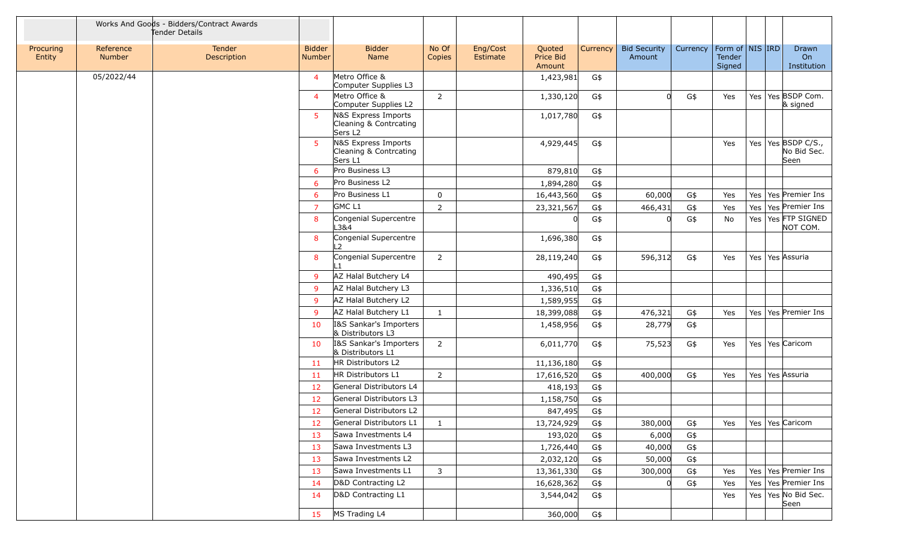|                     |                     | Works And Goods - Bidders/Contract Awards<br>Fender Details |                                |                                                                      |                 |                      |                               |          |                               |          |                                             |     |                                               |
|---------------------|---------------------|-------------------------------------------------------------|--------------------------------|----------------------------------------------------------------------|-----------------|----------------------|-------------------------------|----------|-------------------------------|----------|---------------------------------------------|-----|-----------------------------------------------|
| Procuring<br>Entity | Reference<br>Number | Tender<br>Description                                       | <b>Bidder</b><br><b>Number</b> | <b>Bidder</b><br>Name                                                | No Of<br>Copies | Eng/Cost<br>Estimate | Quoted<br>Price Bid<br>Amount | Currency | <b>Bid Security</b><br>Amount | Currency | Form of $\vert$ NIS IRD<br>Tender<br>Signed |     | Drawn<br>On<br>Institution                    |
|                     | 05/2022/44          |                                                             | $\overline{4}$                 | Metro Office &<br>Computer Supplies L3                               |                 |                      | 1,423,981                     | G\$      |                               |          |                                             |     |                                               |
|                     |                     |                                                             | $\overline{4}$                 | Metro Office &<br>Computer Supplies L2                               | 2               |                      | 1,330,120                     | G\$      | <sup>n</sup>                  | G\$      | Yes                                         |     | Yes Yes BSDP Com.<br>& signed                 |
|                     |                     |                                                             | 5                              | N&S Express Imports<br>Cleaning & Contrcating<br>Sers L <sub>2</sub> |                 |                      | 1,017,780                     | G\$      |                               |          |                                             |     |                                               |
|                     |                     |                                                             | 5                              | N&S Express Imports<br>Cleaning & Contrcating<br>Sers L1             |                 |                      | 4,929,445                     | G\$      |                               |          | Yes                                         |     | Yes   Yes   BSDP C/S.,<br>No Bid Sec.<br>Seen |
|                     |                     |                                                             | 6                              | Pro Business L3                                                      |                 |                      | 879,810                       | G\$      |                               |          |                                             |     |                                               |
|                     |                     |                                                             | 6                              | Pro Business L2                                                      |                 |                      | 1,894,280                     | G\$      |                               |          |                                             |     |                                               |
|                     |                     |                                                             | 6                              | Pro Business L1                                                      | $\mathbf 0$     |                      | 16,443,560                    | G\$      | 60,000                        | G\$      | Yes                                         |     | Yes   Yes   Premier Ins                       |
|                     |                     |                                                             | $\overline{7}$                 | GMC <sub>L1</sub>                                                    | $\overline{2}$  |                      | 23,321,567                    | G\$      | 466,431                       | G\$      | Yes                                         |     | Yes   Yes   Premier Ins                       |
|                     |                     |                                                             | 8                              | Congenial Supercentre<br>L3&4                                        |                 |                      |                               | G\$      |                               | G\$      | No                                          |     | Yes   Yes FTP SIGNED<br>NOT COM.              |
|                     |                     |                                                             | 8                              | Congenial Supercentre<br>$\mathcal{P}$                               |                 |                      | 1,696,380                     | G\$      |                               |          |                                             |     |                                               |
|                     |                     |                                                             | 8                              | Congenial Supercentre                                                | $\overline{2}$  |                      | 28,119,240                    | G\$      | 596,312                       | G\$      | Yes                                         |     | Yes   Yes Assuria                             |
|                     |                     |                                                             | -9                             | AZ Halal Butchery L4                                                 |                 |                      | 490,495                       | G\$      |                               |          |                                             |     |                                               |
|                     |                     |                                                             | -9                             | AZ Halal Butchery L3                                                 |                 |                      | 1,336,510                     | G\$      |                               |          |                                             |     |                                               |
|                     |                     |                                                             | -9                             | AZ Halal Butchery L2                                                 |                 |                      | 1,589,955                     | G\$      |                               |          |                                             |     |                                               |
|                     |                     |                                                             | -9                             | AZ Halal Butchery L1                                                 | $\mathbf{1}$    |                      | 18,399,088                    | G\$      | 476,321                       | G\$      | Yes                                         |     | Yes   Yes   Premier Ins                       |
|                     |                     |                                                             | 10                             | I&S Sankar's Importers<br>& Distributors L3                          |                 |                      | 1,458,956                     | G\$      | 28,779                        | G\$      |                                             |     |                                               |
|                     |                     |                                                             | 10                             | I&S Sankar's Importers<br>& Distributors L1                          | $\overline{2}$  |                      | 6,011,770                     | G\$      | 75,523                        | G\$      | Yes                                         |     | Yes   Yes   Caricom                           |
|                     |                     |                                                             | 11                             | HR Distributors L2                                                   |                 |                      | 11,136,180                    | G\$      |                               |          |                                             |     |                                               |
|                     |                     |                                                             | -11                            | HR Distributors L1                                                   | $\overline{2}$  |                      | 17,616,520                    | G\$      | 400,000                       | G\$      | Yes                                         |     | Yes   Yes Assuria                             |
|                     |                     |                                                             | 12                             | General Distributors L4                                              |                 |                      | 418,193                       | G\$      |                               |          |                                             |     |                                               |
|                     |                     |                                                             | 12                             | General Distributors L3                                              |                 |                      | 1,158,750                     | G\$      |                               |          |                                             |     |                                               |
|                     |                     |                                                             | 12                             | General Distributors L2                                              |                 |                      | 847,495                       | G\$      |                               |          |                                             |     |                                               |
|                     |                     |                                                             | 12                             | General Distributors L1                                              | $\mathbf{1}$    |                      | 13,724,929                    | G\$      | 380,000                       | G\$      | Yes                                         |     | Yes   Yes   Caricom                           |
|                     |                     |                                                             | 13                             | Sawa Investments L4                                                  |                 |                      | 193,020                       | G\$      | 6,000                         | G\$      |                                             |     |                                               |
|                     |                     |                                                             | 13                             | Sawa Investments L3                                                  |                 |                      | 1,726,440                     | G\$      | 40,000                        | G\$      |                                             |     |                                               |
|                     |                     |                                                             | 13                             | Sawa Investments L2                                                  |                 |                      | 2,032,120                     | G\$      | 50,000                        | G\$      |                                             |     |                                               |
|                     |                     |                                                             | 13                             | Sawa Investments L1                                                  | $\overline{3}$  |                      | 13,361,330                    | G\$      | 300,000                       | G\$      | Yes                                         |     | Yes   Yes   Premier Ins                       |
|                     |                     |                                                             | 14                             | D&D Contracting L2                                                   |                 |                      | 16,628,362                    | G\$      |                               | G\$      | Yes                                         | Yes | Yes Premier Ins                               |
|                     |                     |                                                             | 14                             | D&D Contracting L1                                                   |                 |                      | 3,544,042                     | G\$      |                               |          | Yes                                         |     | Yes   Yes   No Bid Sec.<br>Seen               |
|                     |                     |                                                             | 15                             | MS Trading L4                                                        |                 |                      | 360,000                       | G\$      |                               |          |                                             |     |                                               |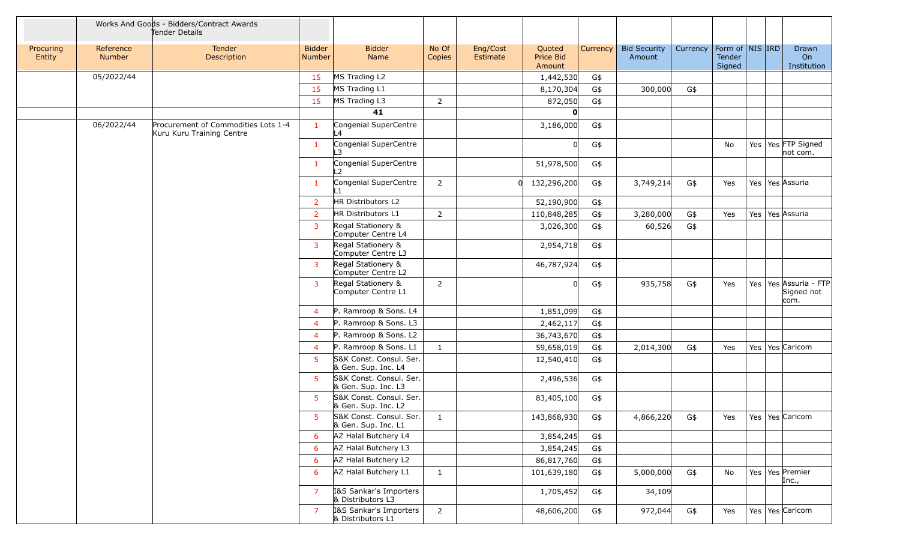|                     |                            | Works And Goods - Bidders/Contract Awards<br>Tender Details      |                         |                                                |                 |                      |                               |          |                               |          |                                             |     |                                                   |
|---------------------|----------------------------|------------------------------------------------------------------|-------------------------|------------------------------------------------|-----------------|----------------------|-------------------------------|----------|-------------------------------|----------|---------------------------------------------|-----|---------------------------------------------------|
| Procuring<br>Entity | Reference<br><b>Number</b> | Tender<br>Description                                            | <b>Bidder</b><br>Number | <b>Bidder</b><br>Name                          | No Of<br>Copies | Eng/Cost<br>Estimate | Quoted<br>Price Bid<br>Amount | Currency | <b>Bid Security</b><br>Amount | Currency | Form of   NIS   IRD<br>Tender<br>Signed     |     | Drawn<br>On<br>Institution                        |
|                     | 05/2022/44                 |                                                                  | 15                      | MS Trading L2                                  |                 |                      | 1,442,530                     | G\$      |                               |          |                                             |     |                                                   |
|                     |                            |                                                                  | 15                      | MS Trading L1                                  |                 |                      | 8,170,304                     | G\$      | 300,000                       | G\$      |                                             |     |                                                   |
|                     |                            |                                                                  | 15                      | MS Trading L3                                  | $\overline{2}$  |                      | 872,050                       | G\$      |                               |          |                                             |     |                                                   |
|                     |                            |                                                                  |                         | 41                                             |                 |                      | O                             |          |                               |          |                                             |     |                                                   |
|                     | 06/2022/44                 | Procurement of Commodities Lots 1-4<br>Kuru Kuru Training Centre | $\mathbf{1}$            | Congenial SuperCentre<br>L4                    |                 |                      | 3,186,000                     | G\$      |                               |          |                                             |     |                                                   |
|                     |                            |                                                                  | 1                       | Congenial SuperCentre<br>L3                    |                 |                      | 0                             | G\$      |                               |          | No                                          |     | Yes   Yes FTP Signed<br>not com.                  |
|                     |                            |                                                                  | $\mathbf{1}$            | Congenial SuperCentre<br>L2                    |                 |                      | 51,978,500                    | G\$      |                               |          |                                             |     |                                                   |
|                     |                            |                                                                  | 1                       | Congenial SuperCentre<br>ll 1                  | 2               |                      | 132,296,200                   | G\$      | 3,749,214                     | G\$      | Yes                                         |     | Yes   Yes   Assuria                               |
|                     |                            |                                                                  | 2                       | HR Distributors L2                             |                 |                      | 52,190,900                    | G\$      |                               |          |                                             |     |                                                   |
|                     |                            |                                                                  | 2                       | HR Distributors L1                             | $\overline{2}$  |                      | 110,848,285                   | G\$      | 3,280,000                     | G\$      | Yes                                         |     | Yes   Yes Assuria                                 |
|                     |                            |                                                                  | 3                       | Regal Stationery &<br>Computer Centre L4       |                 |                      | 3,026,300                     | G\$      | 60,526                        | G\$      |                                             |     |                                                   |
|                     |                            |                                                                  | 3                       | Regal Stationery &<br>Computer Centre L3       |                 |                      | 2,954,718                     | G\$      |                               |          |                                             |     |                                                   |
|                     |                            |                                                                  | 3                       | Regal Stationery &<br>Computer Centre L2       |                 |                      | 46,787,924                    | G\$      |                               |          |                                             |     |                                                   |
|                     |                            |                                                                  | 3                       | Regal Stationery &<br>Computer Centre L1       | $\overline{2}$  |                      | ΩI                            | G\$      | 935,758                       | G\$      | Yes                                         |     | Yes   Yes   Assuria - FTP  <br>Signed not<br>com. |
|                     |                            |                                                                  | $\overline{4}$          | P. Ramroop & Sons. L4                          |                 |                      | 1,851,099                     | G\$      |                               |          |                                             |     |                                                   |
|                     |                            |                                                                  | $\overline{4}$          | P. Ramroop & Sons. L3                          |                 |                      | 2,462,117                     | G\$      |                               |          |                                             |     |                                                   |
|                     |                            |                                                                  | $\overline{4}$          | P. Ramroop & Sons. L2                          |                 |                      | 36,743,670                    | G\$      |                               |          |                                             |     |                                                   |
|                     |                            |                                                                  | $\overline{4}$          | P. Ramroop & Sons. L1                          | $\mathbf{1}$    |                      | 59,658,019                    | G\$      | 2,014,300                     | G\$      | Yes                                         | Yes | Yes Caricom                                       |
|                     |                            |                                                                  | 5                       | S&K Const. Consul. Ser.<br>& Gen. Sup. Inc. L4 |                 |                      | 12,540,410                    | G\$      |                               |          |                                             |     |                                                   |
|                     |                            |                                                                  | 5.                      | S&K Const. Consul. Ser.<br>& Gen. Sup. Inc. L3 |                 |                      | 2,496,536                     | G\$      |                               |          |                                             |     |                                                   |
|                     |                            |                                                                  | -5                      | S&K Const. Consul. Ser.<br>& Gen. Sup. Inc. L2 |                 |                      | 83,405,100                    | G\$      |                               |          |                                             |     |                                                   |
|                     |                            |                                                                  | $5 -$                   | S&K Const. Consul. Ser.<br>& Gen. Sup. Inc. L1 | $\overline{1}$  |                      | 143,868,930                   | G\$      | 4,866,220 G\$                 |          | $\vert$ Yes $\vert$ Yes $\vert$ Yes Caricom |     |                                                   |
|                     |                            |                                                                  | 6                       | AZ Halal Butchery L4                           |                 |                      | 3,854,245                     | G\$      |                               |          |                                             |     |                                                   |
|                     |                            |                                                                  | 6                       | AZ Halal Butchery L3                           |                 |                      | 3,854,245                     | G\$      |                               |          |                                             |     |                                                   |
|                     |                            |                                                                  | 6                       | AZ Halal Butchery L2                           |                 |                      | 86,817,760                    | G\$      |                               |          |                                             |     |                                                   |
|                     |                            |                                                                  | 6                       | AZ Halal Butchery L1                           | $\mathbf{1}$    |                      | 101,639,180                   | G\$      | 5,000,000                     | G\$      | No                                          |     | Yes   Yes   Premier<br>Inc.,                      |
|                     |                            |                                                                  | 7                       | 1&S Sankar's Importers<br>& Distributors L3    |                 |                      | 1,705,452                     | G\$      | 34,109                        |          |                                             |     |                                                   |
|                     |                            |                                                                  | 7                       | I&S Sankar's Importers<br>& Distributors L1    | $\overline{2}$  |                      | 48,606,200                    | G\$      | 972,044                       | G\$      | Yes                                         |     | Yes   Yes   Caricom                               |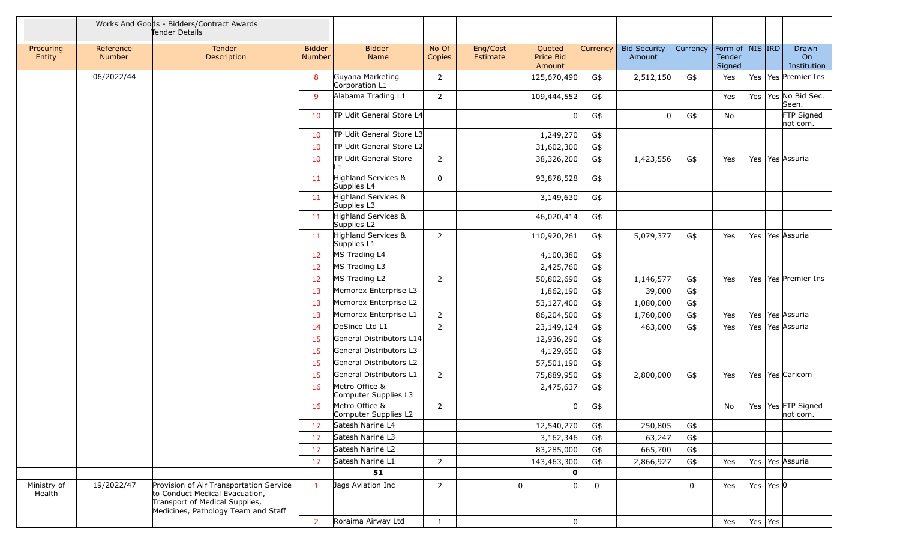|                       |                            | Works And Goods - Bidders/Contract Awards<br>Tender Details                                                                                        |                                |                                        |                 |                      |                               |             |                               |             |                                     |     |                 |                                  |
|-----------------------|----------------------------|----------------------------------------------------------------------------------------------------------------------------------------------------|--------------------------------|----------------------------------------|-----------------|----------------------|-------------------------------|-------------|-------------------------------|-------------|-------------------------------------|-----|-----------------|----------------------------------|
| Procuring<br>Entity   | Reference<br><b>Number</b> | Tender<br>Description                                                                                                                              | <b>Bidder</b><br><b>Number</b> | <b>Bidder</b><br>Name                  | No Of<br>Copies | Eng/Cost<br>Estimate | Quoted<br>Price Bid<br>Amount | Currency    | <b>Bid Security</b><br>Amount | Currency    | Form of NIS IRD<br>Tender<br>Signed |     |                 | Drawn<br>On<br>Institution       |
|                       | 06/2022/44                 |                                                                                                                                                    | 8                              | Guyana Marketing<br>Corporation L1     | $\overline{2}$  |                      | 125,670,490                   | G\$         | 2,512,150                     | G\$         | Yes                                 |     |                 | Yes   Yes   Premier Ins          |
|                       |                            |                                                                                                                                                    | 9                              | Alabama Trading L1                     | $\overline{2}$  |                      | 109,444,552                   | G\$         |                               |             | Yes                                 |     |                 | Yes   Yes   No Bid Sec.<br>Seen. |
|                       |                            |                                                                                                                                                    | 10                             | TP Udit General Store L4               |                 |                      |                               | G\$         |                               | G\$         | No                                  |     |                 | FTP Signed<br>not com.           |
|                       |                            |                                                                                                                                                    | 10                             | TP Udit General Store L3               |                 |                      | 1,249,270                     | G\$         |                               |             |                                     |     |                 |                                  |
|                       |                            |                                                                                                                                                    | 10                             | TP Udit General Store L2               |                 |                      | 31,602,300                    | G\$         |                               |             |                                     |     |                 |                                  |
|                       |                            |                                                                                                                                                    | 10                             | <b>TP Udit General Store</b><br>l 1    | $\overline{2}$  |                      | 38,326,200                    | G\$         | 1,423,556                     | G\$         | Yes                                 |     |                 | Yes   Yes   Assuria              |
|                       |                            |                                                                                                                                                    | 11                             | Highland Services &<br>Supplies L4     | $\mathbf 0$     |                      | 93,878,528                    | G\$         |                               |             |                                     |     |                 |                                  |
|                       |                            |                                                                                                                                                    | 11                             | Highland Services &<br>Supplies L3     |                 |                      | 3,149,630                     | G\$         |                               |             |                                     |     |                 |                                  |
|                       |                            |                                                                                                                                                    | 11                             | Highland Services &<br>Supplies L2     |                 |                      | 46,020,414                    | G\$         |                               |             |                                     |     |                 |                                  |
|                       |                            |                                                                                                                                                    | 11                             | Highland Services &<br>Supplies L1     | $\overline{2}$  |                      | 110,920,261                   | G\$         | 5,079,377                     | G\$         | Yes                                 |     |                 | Yes   Yes   Assuria              |
|                       |                            |                                                                                                                                                    | 12                             | MS Trading L4                          |                 |                      | 4,100,380                     | G\$         |                               |             |                                     |     |                 |                                  |
|                       |                            |                                                                                                                                                    | 12                             | MS Trading L3                          |                 |                      | 2,425,760                     | G\$         |                               |             |                                     |     |                 |                                  |
|                       |                            |                                                                                                                                                    | 12                             | MS Trading L2                          | $\overline{2}$  |                      | 50,802,690                    | G\$         | 1,146,577                     | G\$         | Yes                                 |     |                 | Yes   Yes   Premier Ins          |
|                       |                            |                                                                                                                                                    | 13                             | Memorex Enterprise L3                  |                 |                      | 1,862,190                     | G\$         | 39,000                        | G\$         |                                     |     |                 |                                  |
|                       |                            |                                                                                                                                                    | 13                             | Memorex Enterprise L2                  |                 |                      | 53,127,400                    | G\$         | 1,080,000                     | G\$         |                                     |     |                 |                                  |
|                       |                            |                                                                                                                                                    | 13                             | Memorex Enterprise L1                  | $\overline{2}$  |                      | 86,204,500                    | G\$         | 1,760,000                     | G\$         | Yes                                 | Yes |                 | Yes Assuria                      |
|                       |                            |                                                                                                                                                    | 14                             | DeSinco Ltd L1                         | $\overline{2}$  |                      | 23,149,124                    | G\$         | 463,000                       | G\$         | Yes                                 |     |                 | Yes   Yes   Assuria              |
|                       |                            |                                                                                                                                                    | 15                             | General Distributors L14               |                 |                      | 12,936,290                    | G\$         |                               |             |                                     |     |                 |                                  |
|                       |                            |                                                                                                                                                    | 15                             | General Distributors L3                |                 |                      | 4,129,650                     | G\$         |                               |             |                                     |     |                 |                                  |
|                       |                            |                                                                                                                                                    | 15                             | General Distributors L2                |                 |                      | 57,501,190                    | G\$         |                               |             |                                     |     |                 |                                  |
|                       |                            |                                                                                                                                                    | 15                             | General Distributors L1                | $\overline{2}$  |                      | 75,889,950                    | G\$         | 2,800,000                     | G\$         | Yes                                 |     |                 | Yes   Yes   Caricom              |
|                       |                            |                                                                                                                                                    | 16                             | Metro Office &<br>Computer Supplies L3 |                 |                      | 2,475,637                     | G\$         |                               |             |                                     |     |                 |                                  |
|                       |                            |                                                                                                                                                    | 16                             | Metro Office &<br>Computer Supplies L2 | $\overline{2}$  |                      |                               | G\$         |                               |             | No                                  |     |                 | Yes   Yes FTP Signed<br>not com. |
|                       |                            |                                                                                                                                                    | 17                             | Satesh Narine L4                       |                 |                      | 12,540,270                    | G\$         | 250,805                       | G\$         |                                     |     |                 |                                  |
|                       |                            |                                                                                                                                                    | 17                             | Satesh Narine L3                       |                 |                      | 3,162,346                     | G\$         | 63,247                        | G\$         |                                     |     |                 |                                  |
|                       |                            |                                                                                                                                                    | 17                             | Satesh Narine L2                       |                 |                      | 83,285,000                    | G\$         | 665,700                       | G\$         |                                     |     |                 |                                  |
|                       |                            |                                                                                                                                                    | 17                             | Satesh Narine L1                       | $\overline{2}$  |                      | 143,463,300                   | G\$         | 2,866,927                     | G\$         | Yes                                 |     |                 | Yes   Yes Assuria                |
|                       |                            |                                                                                                                                                    |                                | 51                                     |                 |                      | $\mathbf{0}$                  |             |                               |             |                                     |     |                 |                                  |
| Ministry of<br>Health | 19/2022/47                 | Provision of Air Transportation Service<br>to Conduct Medical Evacuation,<br>Transport of Medical Supplies,<br>Medicines, Pathology Team and Staff | $\mathbf{1}$                   | Jags Aviation Inc                      | $\overline{2}$  | <sup>0</sup>         | n                             | $\mathsf 0$ |                               | $\mathbf 0$ | Yes                                 |     | Yes   Yes $ 0 $ |                                  |
|                       |                            |                                                                                                                                                    | $\overline{2}$                 | Roraima Airway Ltd                     | $\mathbf{1}$    |                      | <sub>0</sub>                  |             |                               |             | Yes                                 |     | Yes Yes         |                                  |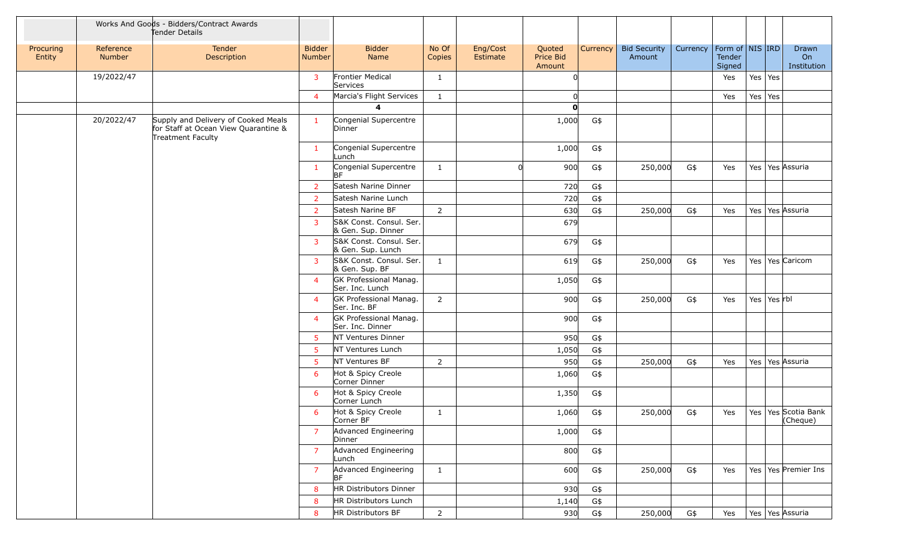|                     | Works And Goods - Bidders/Contract Awards<br>Tender Details |                                                                                                  |                                |                                               |                 |                      |                               |          |                               |          |                  |                     |                                   |
|---------------------|-------------------------------------------------------------|--------------------------------------------------------------------------------------------------|--------------------------------|-----------------------------------------------|-----------------|----------------------|-------------------------------|----------|-------------------------------|----------|------------------|---------------------|-----------------------------------|
| Procuring<br>Entity | Reference<br>Number                                         | Tender<br>Description                                                                            | <b>Bidder</b><br><b>Number</b> | <b>Bidder</b><br>Name                         | No Of<br>Copies | Eng/Cost<br>Estimate | Quoted<br>Price Bid<br>Amount | Currency | <b>Bid Security</b><br>Amount | Currency | Tender<br>Signed | Form of   NIS   IRD | Drawn<br>On<br>Institution        |
|                     | 19/2022/47                                                  |                                                                                                  | 3                              | Frontier Medical<br>Services                  | $\mathbf{1}$    |                      | ∩                             |          |                               |          | Yes              | Yes Yes             |                                   |
|                     |                                                             |                                                                                                  | $\overline{4}$                 | Marcia's Flight Services                      | $\mathbf{1}$    |                      |                               |          |                               |          | Yes              | Yes Yes             |                                   |
|                     |                                                             |                                                                                                  |                                | 4                                             |                 |                      | O                             |          |                               |          |                  |                     |                                   |
|                     | 20/2022/47                                                  | Supply and Delivery of Cooked Meals<br>for Staff at Ocean View Quarantine &<br>Treatment Faculty | $\mathbf{1}$                   | Congenial Supercentre<br>Dinner               |                 |                      | 1,000                         | G\$      |                               |          |                  |                     |                                   |
|                     |                                                             |                                                                                                  | $\mathbf{1}$                   | Congenial Supercentre<br>Lunch                |                 |                      | 1,000                         | G\$      |                               |          |                  |                     |                                   |
|                     |                                                             |                                                                                                  | $\mathbf{1}$                   | Congenial Supercentre<br>BF                   | $\mathbf{1}$    | $\Omega$             | 900                           | G\$      | 250,000                       | G\$      | Yes              | Yes   Yes   Assuria |                                   |
|                     |                                                             |                                                                                                  | <sup>2</sup>                   | Satesh Narine Dinner                          |                 |                      | 720                           | G\$      |                               |          |                  |                     |                                   |
|                     |                                                             |                                                                                                  | $\overline{2}$                 | Satesh Narine Lunch                           |                 |                      | 720                           | G\$      |                               |          |                  |                     |                                   |
|                     |                                                             |                                                                                                  | $\overline{2}$                 | Satesh Narine BF                              | $\overline{2}$  |                      | 630                           | G\$      | 250,000                       | G\$      | Yes              | Yes   Yes   Assuria |                                   |
|                     |                                                             |                                                                                                  | 3                              | S&K Const. Consul. Ser.<br>& Gen. Sup. Dinner |                 |                      | 679                           |          |                               |          |                  |                     |                                   |
|                     |                                                             |                                                                                                  | 3                              | S&K Const. Consul. Ser.<br>& Gen. Sup. Lunch  |                 |                      | 679                           | G\$      |                               |          |                  |                     |                                   |
|                     |                                                             |                                                                                                  | 3                              | S&K Const. Consul. Ser.<br>& Gen. Sup. BF     | $\mathbf{1}$    |                      | 619                           | G\$      | 250,000                       | G\$      | Yes              | Yes   Yes   Caricom |                                   |
|                     |                                                             |                                                                                                  | $\overline{4}$                 | GK Professional Manag.<br>Ser. Inc. Lunch     |                 |                      | 1,050                         | G\$      |                               |          |                  |                     |                                   |
|                     |                                                             |                                                                                                  | $\overline{4}$                 | GK Professional Manag.<br>Ser. Inc. BF        | $\overline{2}$  |                      | 900                           | G\$      | 250,000                       | G\$      | Yes              | Yes   Yes $rbl$     |                                   |
|                     |                                                             |                                                                                                  | $\overline{4}$                 | GK Professional Manag.<br>Ser. Inc. Dinner    |                 |                      | 900                           | G\$      |                               |          |                  |                     |                                   |
|                     |                                                             |                                                                                                  | -5                             | NT Ventures Dinner                            |                 |                      | 950                           | G\$      |                               |          |                  |                     |                                   |
|                     |                                                             |                                                                                                  | -5                             | NT Ventures Lunch                             |                 |                      | 1,050                         | G\$      |                               |          |                  |                     |                                   |
|                     |                                                             |                                                                                                  | -5                             | NT Ventures BF                                | $\overline{2}$  |                      | 950                           | G\$      | 250,000                       | G\$      | Yes              | Yes   Yes Assuria   |                                   |
|                     |                                                             |                                                                                                  | 6                              | Hot & Spicy Creole<br>Corner Dinner           |                 |                      | 1,060                         | G\$      |                               |          |                  |                     |                                   |
|                     |                                                             |                                                                                                  | 6                              | Hot & Spicy Creole<br>Corner Lunch            |                 |                      | 1,350                         | G\$      |                               |          |                  |                     |                                   |
|                     |                                                             |                                                                                                  | 6                              | Hot & Spicy Creole<br>Corner BF               | 1               |                      | 1,060                         | G\$      | 250,000                       | G\$      | Yes              |                     | Yes   Yes Scotia Bank<br>(Cheque) |
|                     |                                                             |                                                                                                  | $\overline{7}$                 | Advanced Engineering<br>Dinner                |                 |                      | 1,000                         | G\$      |                               |          |                  |                     |                                   |
|                     |                                                             |                                                                                                  | $\overline{7}$                 | Advanced Engineering<br>Lunch                 |                 |                      | 800                           | G\$      |                               |          |                  |                     |                                   |
|                     |                                                             |                                                                                                  | $\overline{7}$                 | Advanced Engineering<br>BF                    | $\mathbf{1}$    |                      | 600                           | G\$      | 250,000                       | G\$      | Yes              |                     | Yes   Yes   Premier Ins           |
|                     |                                                             |                                                                                                  | 8                              | HR Distributors Dinner                        |                 |                      | 930                           | G\$      |                               |          |                  |                     |                                   |
|                     |                                                             |                                                                                                  | 8                              | HR Distributors Lunch                         |                 |                      | 1,140                         | G\$      |                               |          |                  |                     |                                   |
|                     |                                                             |                                                                                                  | 8                              | HR Distributors BF                            | $\overline{2}$  |                      | 930                           | G\$      | 250,000                       | G\$      | Yes              | Yes   Yes   Assuria |                                   |